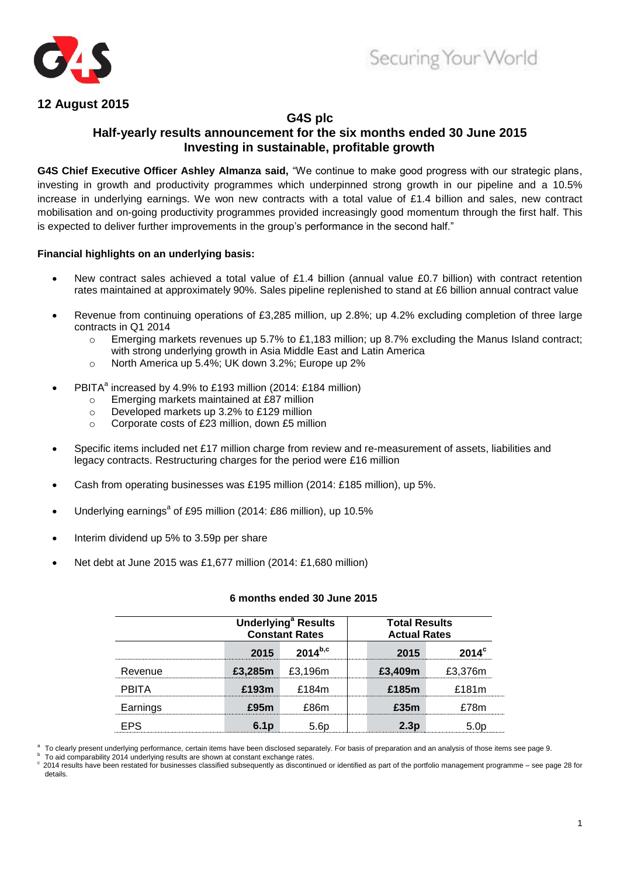



## **12 August 2015**

## **G4S plc**

## **Half-yearly results announcement for the six months ended 30 June 2015 Investing in sustainable, profitable growth**

**G4S Chief Executive Officer Ashley Almanza said,** "We continue to make good progress with our strategic plans, investing in growth and productivity programmes which underpinned strong growth in our pipeline and a 10.5% increase in underlying earnings. We won new contracts with a total value of £1.4 billion and sales, new contract mobilisation and on-going productivity programmes provided increasingly good momentum through the first half. This is expected to deliver further improvements in the group"s performance in the second half."

## **Financial highlights on an underlying basis:**

- New contract sales achieved a total value of £1.4 billion (annual value £0.7 billion) with contract retention rates maintained at approximately 90%. Sales pipeline replenished to stand at £6 billion annual contract value
- Revenue from continuing operations of £3,285 million, up 2.8%; up 4.2% excluding completion of three large contracts in Q1 2014
	- $\circ$  Emerging markets revenues up 5.7% to £1,183 million; up 8.7% excluding the Manus Island contract: with strong underlying growth in Asia Middle East and Latin America
	- o North America up 5.4%; UK down 3.2%; Europe up 2%
- PBITA<sup>a</sup> increased by 4.9% to £193 million (2014: £184 million)
	- o Emerging markets maintained at £87 million
	- o Developed markets up 3.2% to £129 million
	- o Corporate costs of £23 million, down £5 million
- Specific items included net £17 million charge from review and re-measurement of assets, liabilities and legacy contracts. Restructuring charges for the period were £16 million
- Cash from operating businesses was £195 million (2014: £185 million), up 5%.
- Underlying earnings<sup>a</sup> of £95 million (2014: £86 million), up 10.5%
- Interim dividend up 5% to 3.59p per share
- Net debt at June 2015 was £1,677 million (2014: £1,680 million)

|              |       | <b>Underlying<sup>ª</sup> Results</b><br><b>Constant Rates</b> | <b>Total Results</b><br><b>Actual Rates</b> |         |
|--------------|-------|----------------------------------------------------------------|---------------------------------------------|---------|
|              | 2015  | $2014^{b,c}$                                                   | 2015                                        |         |
| Revenue      |       | £3,285 $m$ £3,196 $m$                                          | £3,409m                                     | £3.376m |
| <b>PRITA</b> | £193m | £184m                                                          | £185m                                       | £181m   |
| Earnings     | rafim | FRRm                                                           | £35m                                        | 72Rm    |
| FPS          | ճ 1n  |                                                                | 2.3n                                        |         |

## **6 months ended 30 June 2015**

<sup>b</sup> To aid comparability 2014 underlying results are shown at constant exchange rates.

 $\degree$  2014 results have been restated for businesses classified subsequently as discontinued or identified as part of the portfolio management programme – see page 28 for details.

a To clearly present underlying performance, certain items have been disclosed separately. For basis of preparation and an analysis of those items see page 9.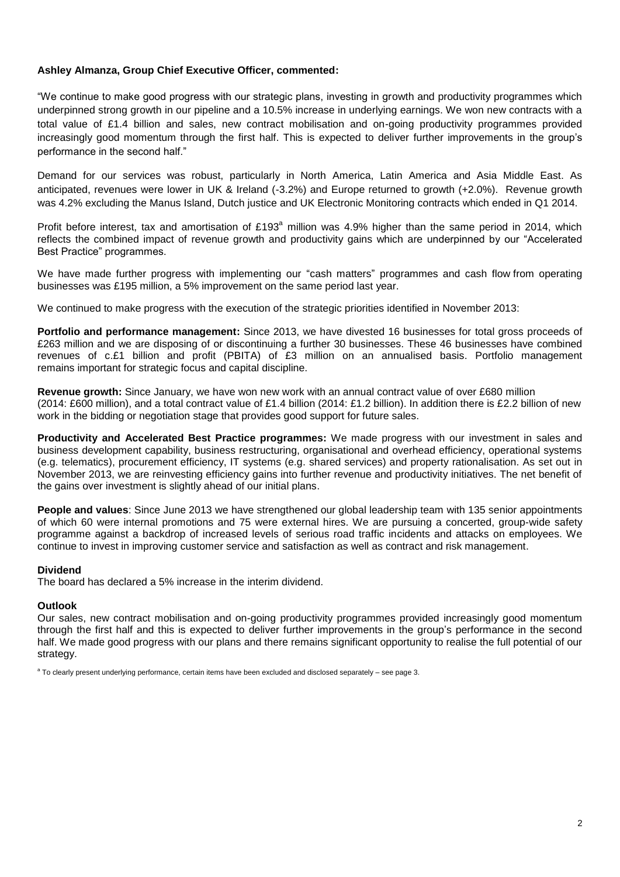## **Ashley Almanza, Group Chief Executive Officer, commented:**

"We continue to make good progress with our strategic plans, investing in growth and productivity programmes which underpinned strong growth in our pipeline and a 10.5% increase in underlying earnings. We won new contracts with a total value of £1.4 billion and sales, new contract mobilisation and on-going productivity programmes provided increasingly good momentum through the first half. This is expected to deliver further improvements in the group"s performance in the second half."

Demand for our services was robust, particularly in North America, Latin America and Asia Middle East. As anticipated, revenues were lower in UK & Ireland (-3.2%) and Europe returned to growth (+2.0%). Revenue growth was 4.2% excluding the Manus Island, Dutch justice and UK Electronic Monitoring contracts which ended in Q1 2014.

Profit before interest, tax and amortisation of £193 $^{\circ}$  million was 4.9% higher than the same period in 2014, which reflects the combined impact of revenue growth and productivity gains which are underpinned by our "Accelerated Best Practice" programmes.

We have made further progress with implementing our "cash matters" programmes and cash flow from operating businesses was £195 million, a 5% improvement on the same period last year.

We continued to make progress with the execution of the strategic priorities identified in November 2013:

**Portfolio and performance management:** Since 2013, we have divested 16 businesses for total gross proceeds of £263 million and we are disposing of or discontinuing a further 30 businesses. These 46 businesses have combined revenues of c.£1 billion and profit (PBITA) of £3 million on an annualised basis. Portfolio management remains important for strategic focus and capital discipline.

**Revenue growth:** Since January, we have won new work with an annual contract value of over £680 million (2014: £600 million), and a total contract value of £1.4 billion (2014: £1.2 billion). In addition there is £2.2 billion of new work in the bidding or negotiation stage that provides good support for future sales.

**Productivity and Accelerated Best Practice programmes:** We made progress with our investment in sales and business development capability, business restructuring, organisational and overhead efficiency, operational systems (e.g. telematics), procurement efficiency, IT systems (e.g. shared services) and property rationalisation. As set out in November 2013, we are reinvesting efficiency gains into further revenue and productivity initiatives. The net benefit of the gains over investment is slightly ahead of our initial plans.

**People and values**: Since June 2013 we have strengthened our global leadership team with 135 senior appointments of which 60 were internal promotions and 75 were external hires. We are pursuing a concerted, group-wide safety programme against a backdrop of increased levels of serious road traffic incidents and attacks on employees. We continue to invest in improving customer service and satisfaction as well as contract and risk management.

## **Dividend**

The board has declared a 5% increase in the interim dividend.

## **Outlook**

Our sales, new contract mobilisation and on-going productivity programmes provided increasingly good momentum through the first half and this is expected to deliver further improvements in the group"s performance in the second half. We made good progress with our plans and there remains significant opportunity to realise the full potential of our strategy.

<sup>a</sup> To clearly present underlying performance, certain items have been excluded and disclosed separately – see page 3.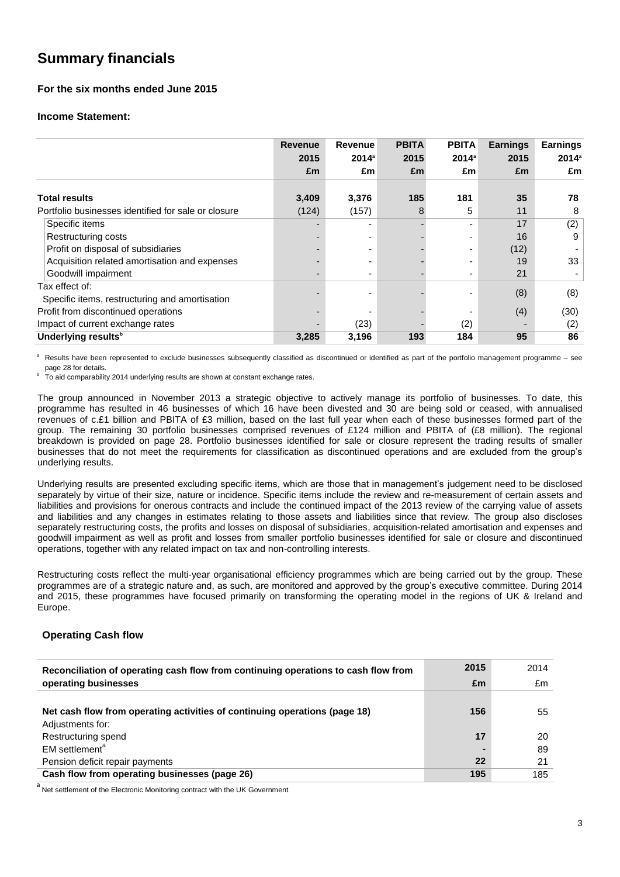# **Summary financials**

## **For the six months ended June 2015**

### **Income Statement:**

|                                                     | <b>Revenue</b> | <b>Revenue</b> | <b>PBITA</b> | <b>PBITA</b> | <b>Earnings</b> | <b>Earnings</b> |
|-----------------------------------------------------|----------------|----------------|--------------|--------------|-----------------|-----------------|
|                                                     | 2015           | $2014^a$       | 2015         | $2014^a$     | 2015            | $2014^{\circ}$  |
|                                                     | £m             | £m             | Em           | £m           | £m              | £m              |
|                                                     |                |                |              |              |                 |                 |
| <b>Total results</b>                                | 3,409          | 3,376          | 185          | 181          | 35              | 78              |
| Portfolio businesses identified for sale or closure | (124)          | (157)          | 8            | 5            | 11              | 8               |
| Specific items                                      |                |                |              |              | 17              | (2)             |
| <b>Restructuring costs</b>                          |                |                |              |              | 16              | 9               |
| Profit on disposal of subsidiaries                  |                |                |              |              | (12)            |                 |
| Acquisition related amortisation and expenses       |                |                |              |              | 19              | 33              |
| Goodwill impairment                                 |                |                |              |              | 21              |                 |
| Tax effect of:                                      |                |                |              |              |                 |                 |
| Specific items, restructuring and amortisation      |                |                |              |              | (8)             | (8)             |
| Profit from discontinued operations                 |                |                |              |              | (4)             | (30)            |
| Impact of current exchange rates                    |                | (23)           |              | (2)          |                 | (2)             |
| Underlying results <sup>b</sup>                     | 3,285          | 3,196          | 193          | 184          | 95              | 86              |

Results have been represented to exclude businesses subsequently classified as discontinued or identified as part of the portfolio management programme - see page 28 for details.

b To aid comparability 2014 underlying results are shown at constant exchange rates.

The group announced in November 2013 a strategic objective to actively manage its portfolio of businesses. To date, this programme has resulted in 46 businesses of which 16 have been divested and 30 are being sold or ceased, with annualised revenues of c.£1 billion and PBITA of £3 million, based on the last full year when each of these businesses formed part of the group. The remaining 30 portfolio businesses comprised revenues of £124 million and PBITA of (£8 million). The regional breakdown is provided on page 28. Portfolio businesses identified for sale or closure represent the trading results of smaller businesses that do not meet the requirements for classification as discontinued operations and are excluded from the group"s underlying results.

Underlying results are presented excluding specific items, which are those that in management"s judgement need to be disclosed separately by virtue of their size, nature or incidence. Specific items include the review and re-measurement of certain assets and liabilities and provisions for onerous contracts and include the continued impact of the 2013 review of the carrying value of assets and liabilities and any changes in estimates relating to those assets and liabilities since that review. The group also discloses separately restructuring costs, the profits and losses on disposal of subsidiaries, acquisition-related amortisation and expenses and goodwill impairment as well as profit and losses from smaller portfolio businesses identified for sale or closure and discontinued operations, together with any related impact on tax and non-controlling interests.

Restructuring costs reflect the multi-year organisational efficiency programmes which are being carried out by the group. These programmes are of a strategic nature and, as such, are monitored and approved by the group"s executive committee. During 2014 and 2015, these programmes have focused primarily on transforming the operating model in the regions of UK & Ireland and Europe.

## **Operating Cash flow**

| Reconciliation of operating cash flow from continuing operations to cash flow from | 2015 | 2014 |
|------------------------------------------------------------------------------------|------|------|
| operating businesses                                                               | £m   | £m   |
|                                                                                    |      |      |
| Net cash flow from operating activities of continuing operations (page 18)         | 156  | 55   |
| Adjustments for:                                                                   |      |      |
| Restructuring spend                                                                | 17   | 20   |
| EM settlement <sup>a</sup>                                                         |      | 89   |
| Pension deficit repair payments                                                    | 22   | 21   |
| Cash flow from operating businesses (page 26)                                      | 195  | 185  |

a<br>Net settlement of the Electronic Monitoring contract with the UK Government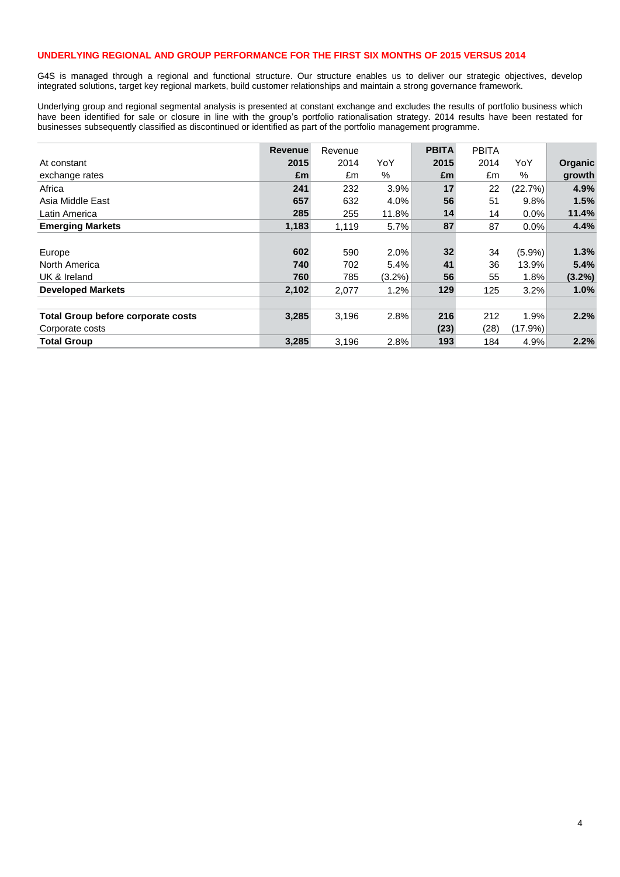### **UNDERLYING REGIONAL AND GROUP PERFORMANCE FOR THE FIRST SIX MONTHS OF 2015 VERSUS 2014**

G4S is managed through a regional and functional structure. Our structure enables us to deliver our strategic objectives, develop integrated solutions, target key regional markets, build customer relationships and maintain a strong governance framework.

Underlying group and regional segmental analysis is presented at constant exchange and excludes the results of portfolio business which have been identified for sale or closure in line with the group"s portfolio rationalisation strategy. 2014 results have been restated for businesses subsequently classified as discontinued or identified as part of the portfolio management programme.

|                                           | <b>Revenue</b> | Revenue |           | <b>PBITA</b> | <b>PBITA</b> |           |           |
|-------------------------------------------|----------------|---------|-----------|--------------|--------------|-----------|-----------|
| At constant                               | 2015           | 2014    | YoY       | 2015         | 2014         | YoY       | Organic   |
| exchange rates                            | £m             | £m      | %         | £m           | £m           | %         | growth    |
| Africa                                    | 241            | 232     | 3.9%      | 17           | 22           | (22.7%)   | 4.9%      |
| Asia Middle East                          | 657            | 632     | 4.0%      | 56           | 51           | 9.8%      | 1.5%      |
| Latin America                             | 285            | 255     | 11.8%     | 14           | 14           | 0.0%      | 11.4%     |
| <b>Emerging Markets</b>                   | 1,183          | 1,119   | 5.7%      | 87           | 87           | 0.0%      | 4.4%      |
|                                           |                |         |           |              |              |           |           |
| Europe                                    | 602            | 590     | 2.0%      | 32           | 34           | $(5.9\%)$ | 1.3%      |
| North America                             | 740            | 702     | 5.4%      | 41           | 36           | 13.9%     | 5.4%      |
| UK & Ireland                              | 760            | 785     | $(3.2\%)$ | 56           | 55           | 1.8%      | $(3.2\%)$ |
| <b>Developed Markets</b>                  | 2,102          | 2,077   | 1.2%      | 129          | 125          | 3.2%      | 1.0%      |
|                                           |                |         |           |              |              |           |           |
| <b>Total Group before corporate costs</b> | 3,285          | 3,196   | 2.8%      | 216          | 212          | 1.9%      | 2.2%      |
| Corporate costs                           |                |         |           | (23)         | (28)         | (17.9%)   |           |
| <b>Total Group</b>                        | 3,285          | 3,196   | 2.8%      | 193          | 184          | 4.9%      | 2.2%      |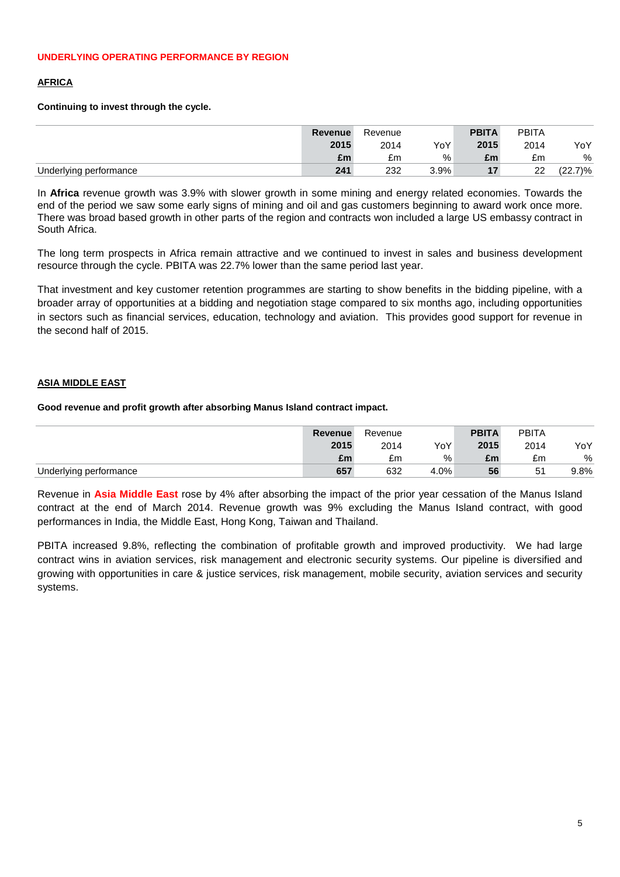## **AFRICA**

## **Continuing to invest through the cycle.**

|                        | Revenue | Revenue |      | <b>PBITA</b> | <b>PBITA</b> |            |
|------------------------|---------|---------|------|--------------|--------------|------------|
|                        | 2015    | 2014    | YoY  | 2015         | 2014         | YoY        |
|                        | £m      | £m      | %    | £m           | £m           | %          |
| Underlying performance | 241     | 232     | 3.9% |              | 22           | $(22.7)\%$ |

In **Africa** revenue growth was 3.9% with slower growth in some mining and energy related economies. Towards the end of the period we saw some early signs of mining and oil and gas customers beginning to award work once more. There was broad based growth in other parts of the region and contracts won included a large US embassy contract in South Africa.

The long term prospects in Africa remain attractive and we continued to invest in sales and business development resource through the cycle. PBITA was 22.7% lower than the same period last year.

That investment and key customer retention programmes are starting to show benefits in the bidding pipeline, with a broader array of opportunities at a bidding and negotiation stage compared to six months ago, including opportunities in sectors such as financial services, education, technology and aviation. This provides good support for revenue in the second half of 2015.

## **ASIA MIDDLE EAST**

## **Good revenue and profit growth after absorbing Manus Island contract impact.**

|                        | Revenue | Revenue |      | <b>PBITA</b> | <b>PBITA</b> |      |
|------------------------|---------|---------|------|--------------|--------------|------|
|                        | 2015    | 2014    | YoY  | 2015         | 2014         | YoY  |
|                        | £m      | £m      | %    | £m           | £m           | $\%$ |
| Underlying performance | 657     | 632     | 4.0% | 56           | 51           | 9.8% |

Revenue in **Asia Middle East** rose by 4% after absorbing the impact of the prior year cessation of the Manus Island contract at the end of March 2014. Revenue growth was 9% excluding the Manus Island contract, with good performances in India, the Middle East, Hong Kong, Taiwan and Thailand.

PBITA increased 9.8%, reflecting the combination of profitable growth and improved productivity. We had large contract wins in aviation services, risk management and electronic security systems. Our pipeline is diversified and growing with opportunities in care & justice services, risk management, mobile security, aviation services and security systems.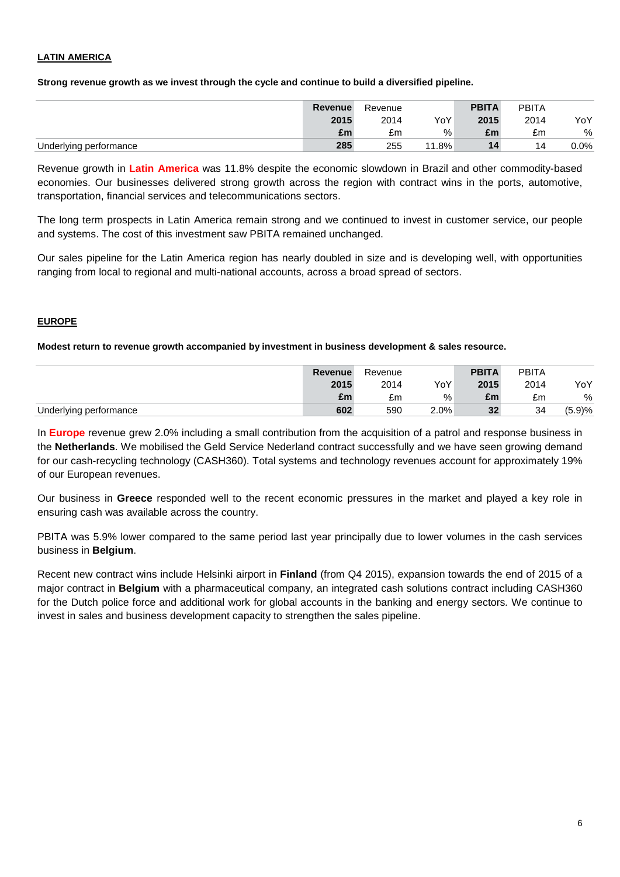## **LATIN AMERICA**

**Strong revenue growth as we invest through the cycle and continue to build a diversified pipeline.**

|                        | Revenue | Revenue |          | <b>PBITA</b> | <b>PBITA</b> |      |
|------------------------|---------|---------|----------|--------------|--------------|------|
|                        | 2015    | 2014    | YoY      | 2015         | 2014         | YoY  |
|                        | £m      | £m      | %        | £m           | £m           | %    |
| Underlying performance | 285     | 255     | $11.8\%$ | 14           | 14           | 0.0% |

Revenue growth in **Latin America** was 11.8% despite the economic slowdown in Brazil and other commodity-based economies. Our businesses delivered strong growth across the region with contract wins in the ports, automotive, transportation, financial services and telecommunications sectors.

The long term prospects in Latin America remain strong and we continued to invest in customer service, our people and systems. The cost of this investment saw PBITA remained unchanged.

Our sales pipeline for the Latin America region has nearly doubled in size and is developing well, with opportunities ranging from local to regional and multi-national accounts, across a broad spread of sectors.

## **EUROPE**

## **Modest return to revenue growth accompanied by investment in business development & sales resource.**

|                        | Revenue | Revenue |      | <b>PBITA</b> | <b>PBITA</b> |        |
|------------------------|---------|---------|------|--------------|--------------|--------|
|                        | 2015    | 2014    | YoY  | 2015         | 2014         | YoY    |
|                        | £m      | £m      | %    | £m           | £m           | %      |
| Underlying performance | 602     | 590     | 2.0% | 32           | 34           | (5.9)% |

In **Europe** revenue grew 2.0% including a small contribution from the acquisition of a patrol and response business in the **Netherlands**. We mobilised the Geld Service Nederland contract successfully and we have seen growing demand for our cash-recycling technology (CASH360). Total systems and technology revenues account for approximately 19% of our European revenues.

Our business in **Greece** responded well to the recent economic pressures in the market and played a key role in ensuring cash was available across the country.

PBITA was 5.9% lower compared to the same period last year principally due to lower volumes in the cash services business in **Belgium**.

Recent new contract wins include Helsinki airport in **Finland** (from Q4 2015), expansion towards the end of 2015 of a major contract in **Belgium** with a pharmaceutical company, an integrated cash solutions contract including CASH360 for the Dutch police force and additional work for global accounts in the banking and energy sectors*.* We continue to invest in sales and business development capacity to strengthen the sales pipeline.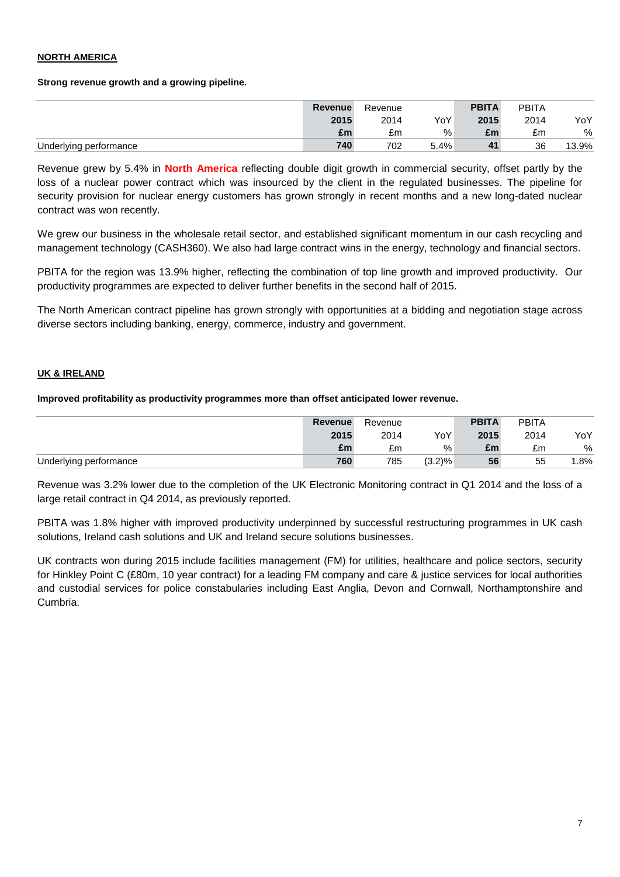## **NORTH AMERICA**

### **Strong revenue growth and a growing pipeline.**

|                        | Revenue | Revenue |      | <b>PBITA</b> | <b>PBITA</b> |       |
|------------------------|---------|---------|------|--------------|--------------|-------|
|                        | 2015    | 2014    | YoY  | 2015         | 2014         | YoY   |
|                        | £m      | £m      | %    | £m           | £m           | %     |
| Underlying performance | 740     | 702     | 5.4% | 41           | 36           | 13.9% |

Revenue grew by 5.4% in **North America** reflecting double digit growth in commercial security, offset partly by the loss of a nuclear power contract which was insourced by the client in the regulated businesses. The pipeline for security provision for nuclear energy customers has grown strongly in recent months and a new long-dated nuclear contract was won recently.

We grew our business in the wholesale retail sector, and established significant momentum in our cash recycling and management technology (CASH360). We also had large contract wins in the energy, technology and financial sectors.

PBITA for the region was 13.9% higher, reflecting the combination of top line growth and improved productivity. Our productivity programmes are expected to deliver further benefits in the second half of 2015.

The North American contract pipeline has grown strongly with opportunities at a bidding and negotiation stage across diverse sectors including banking, energy, commerce, industry and government.

## **UK & IRELAND**

### **Improved profitability as productivity programmes more than offset anticipated lower revenue.**

|                        | <b>Revenue</b> | Revenue |           | <b>PBITA</b> | <b>PBITA</b> |       |
|------------------------|----------------|---------|-----------|--------------|--------------|-------|
|                        | 2015           | 2014    | YoY       | 2015         | 2014         | YoY   |
|                        | £m             | £m      | %         | £m           | £m           | %     |
| Underlying performance | 760            | 785     | $(3.2)\%$ | 56           | 55           | . .8% |

Revenue was 3.2% lower due to the completion of the UK Electronic Monitoring contract in Q1 2014 and the loss of a large retail contract in Q4 2014, as previously reported.

PBITA was 1.8% higher with improved productivity underpinned by successful restructuring programmes in UK cash solutions, Ireland cash solutions and UK and Ireland secure solutions businesses.

UK contracts won during 2015 include facilities management (FM) for utilities, healthcare and police sectors, security for Hinkley Point C (£80m, 10 year contract) for a leading FM company and care & justice services for local authorities and custodial services for police constabularies including East Anglia, Devon and Cornwall, Northamptonshire and Cumbria.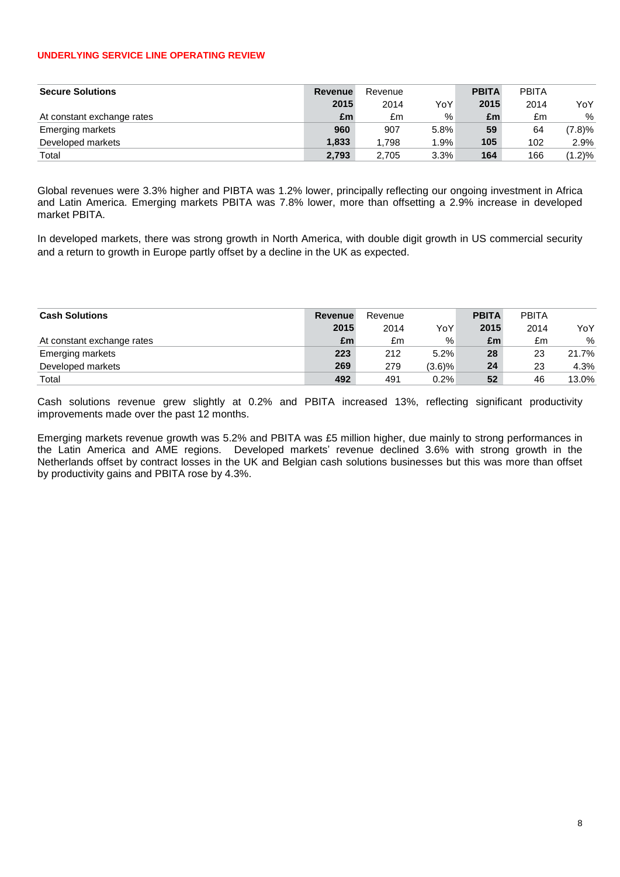#### **UNDERLYING SERVICE LINE OPERATING REVIEW**

| <b>Secure Solutions</b>    | <b>Revenue</b> | Revenue |      | <b>PBITA</b> | <b>PBITA</b> |        |
|----------------------------|----------------|---------|------|--------------|--------------|--------|
|                            | 2015           | 2014    | YoY  | 2015         | 2014         | YoY    |
| At constant exchange rates | £m             | £m      | %    | £m           | £m           | %      |
| <b>Emerging markets</b>    | 960            | 907     | 5.8% | 59           | 64           | (7.8)% |
| Developed markets          | 1.833          | 1.798   | 1.9% | 105          | 102          | 2.9%   |
| Total                      | 2.793          | 2.705   | 3.3% | 164          | 166          | (1.2)% |

Global revenues were 3.3% higher and PIBTA was 1.2% lower, principally reflecting our ongoing investment in Africa and Latin America. Emerging markets PBITA was 7.8% lower, more than offsetting a 2.9% increase in developed market PBITA.

In developed markets, there was strong growth in North America, with double digit growth in US commercial security and a return to growth in Europe partly offset by a decline in the UK as expected.

| <b>Cash Solutions</b>      | <b>Revenue</b> | Revenue |           | <b>PBITA</b> | <b>PBITA</b> |       |
|----------------------------|----------------|---------|-----------|--------------|--------------|-------|
|                            | 2015           | 2014    | YoY       | 2015         | 2014         | YoY   |
| At constant exchange rates | £m             | £m      | %         | £m           | £m           | %     |
| Emerging markets           | 223            | 212     | 5.2%      | 28           | 23           | 21.7% |
| Developed markets          | 269            | 279     | $(3.6)\%$ | 24           | 23           | 4.3%  |
| Total                      | 492            | 491     | 0.2%      | 52           | 46           | 13.0% |

Cash solutions revenue grew slightly at 0.2% and PBITA increased 13%, reflecting significant productivity improvements made over the past 12 months.

Emerging markets revenue growth was 5.2% and PBITA was £5 million higher, due mainly to strong performances in the Latin America and AME regions. Developed markets' revenue declined 3.6% with strong growth in the Netherlands offset by contract losses in the UK and Belgian cash solutions businesses but this was more than offset by productivity gains and PBITA rose by 4.3%.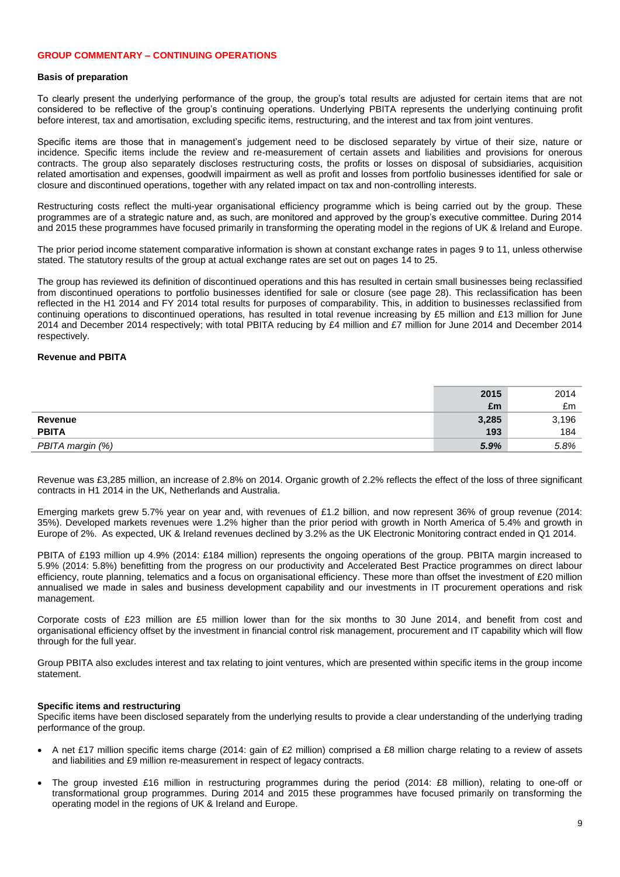#### **GROUP COMMENTARY – CONTINUING OPERATIONS**

#### **Basis of preparation**

To clearly present the underlying performance of the group, the group"s total results are adjusted for certain items that are not considered to be reflective of the group"s continuing operations. Underlying PBITA represents the underlying continuing profit before interest, tax and amortisation, excluding specific items, restructuring, and the interest and tax from joint ventures.

Specific items are those that in management"s judgement need to be disclosed separately by virtue of their size, nature or incidence. Specific items include the review and re-measurement of certain assets and liabilities and provisions for onerous contracts. The group also separately discloses restructuring costs, the profits or losses on disposal of subsidiaries, acquisition related amortisation and expenses, goodwill impairment as well as profit and losses from portfolio businesses identified for sale or closure and discontinued operations, together with any related impact on tax and non-controlling interests.

Restructuring costs reflect the multi-year organisational efficiency programme which is being carried out by the group. These programmes are of a strategic nature and, as such, are monitored and approved by the group"s executive committee. During 2014 and 2015 these programmes have focused primarily in transforming the operating model in the regions of UK & Ireland and Europe.

The prior period income statement comparative information is shown at constant exchange rates in pages 9 to 11, unless otherwise stated. The statutory results of the group at actual exchange rates are set out on pages 14 to 25.

The group has reviewed its definition of discontinued operations and this has resulted in certain small businesses being reclassified from discontinued operations to portfolio businesses identified for sale or closure (see page 28). This reclassification has been reflected in the H1 2014 and FY 2014 total results for purposes of comparability. This, in addition to businesses reclassified from continuing operations to discontinued operations, has resulted in total revenue increasing by £5 million and £13 million for June 2014 and December 2014 respectively; with total PBITA reducing by £4 million and £7 million for June 2014 and December 2014 respectively.

#### **Revenue and PBITA**

|                  | 2015  | 2014  |
|------------------|-------|-------|
|                  | £m    | £m    |
| Revenue          | 3,285 | 3,196 |
| <b>PBITA</b>     | 193   | 184   |
| PBITA margin (%) | 5.9%  | 5.8%  |

Revenue was £3,285 million, an increase of 2.8% on 2014. Organic growth of 2.2% reflects the effect of the loss of three significant contracts in H1 2014 in the UK, Netherlands and Australia.

Emerging markets grew 5.7% year on year and, with revenues of £1.2 billion, and now represent 36% of group revenue (2014: 35%). Developed markets revenues were 1.2% higher than the prior period with growth in North America of 5.4% and growth in Europe of 2%. As expected, UK & Ireland revenues declined by 3.2% as the UK Electronic Monitoring contract ended in Q1 2014.

PBITA of £193 million up 4.9% (2014: £184 million) represents the ongoing operations of the group. PBITA margin increased to 5.9% (2014: 5.8%) benefitting from the progress on our productivity and Accelerated Best Practice programmes on direct labour efficiency, route planning, telematics and a focus on organisational efficiency. These more than offset the investment of £20 million annualised we made in sales and business development capability and our investments in IT procurement operations and risk management.

Corporate costs of £23 million are £5 million lower than for the six months to 30 June 2014, and benefit from cost and organisational efficiency offset by the investment in financial control risk management, procurement and IT capability which will flow through for the full year.

Group PBITA also excludes interest and tax relating to joint ventures, which are presented within specific items in the group income statement.

#### **Specific items and restructuring**

Specific items have been disclosed separately from the underlying results to provide a clear understanding of the underlying trading performance of the group.

- A net £17 million specific items charge (2014: gain of £2 million) comprised a £8 million charge relating to a review of assets and liabilities and £9 million re-measurement in respect of legacy contracts.
- The group invested £16 million in restructuring programmes during the period (2014: £8 million), relating to one-off or transformational group programmes. During 2014 and 2015 these programmes have focused primarily on transforming the operating model in the regions of UK & Ireland and Europe.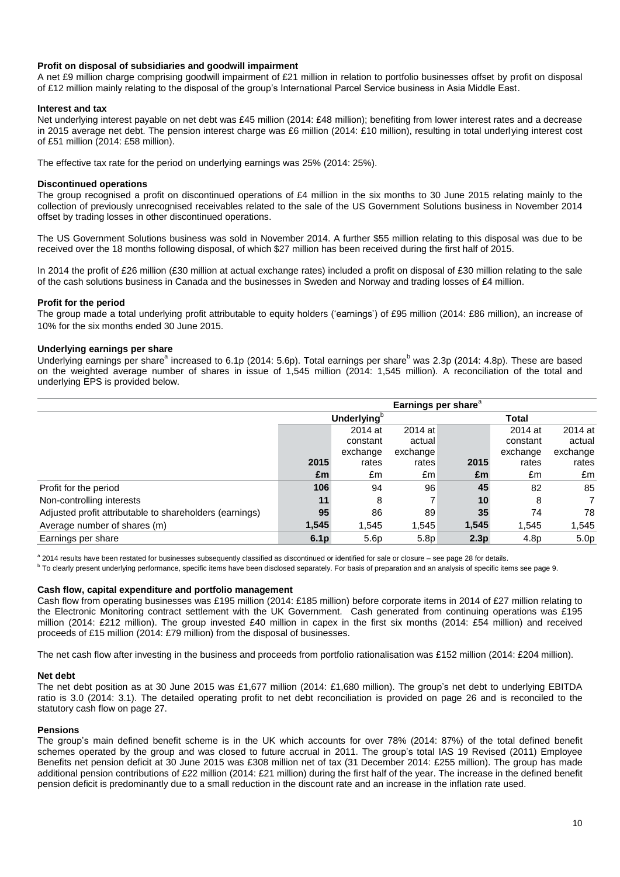#### **Profit on disposal of subsidiaries and goodwill impairment**

A net £9 million charge comprising goodwill impairment of £21 million in relation to portfolio businesses offset by profit on disposal of £12 million mainly relating to the disposal of the group"s International Parcel Service business in Asia Middle East.

#### **Interest and tax**

Net underlying interest payable on net debt was £45 million (2014: £48 million); benefiting from lower interest rates and a decrease in 2015 average net debt. The pension interest charge was £6 million (2014: £10 million), resulting in total underlying interest cost of £51 million (2014: £58 million).

The effective tax rate for the period on underlying earnings was 25% (2014: 25%).

#### **Discontinued operations**

The group recognised a profit on discontinued operations of £4 million in the six months to 30 June 2015 relating mainly to the collection of previously unrecognised receivables related to the sale of the US Government Solutions business in November 2014 offset by trading losses in other discontinued operations.

The US Government Solutions business was sold in November 2014. A further \$55 million relating to this disposal was due to be received over the 18 months following disposal, of which \$27 million has been received during the first half of 2015.

In 2014 the profit of £26 million (£30 million at actual exchange rates) included a profit on disposal of £30 million relating to the sale of the cash solutions business in Canada and the businesses in Sweden and Norway and trading losses of £4 million.

#### **Profit for the period**

The group made a total underlying profit attributable to equity holders ("earnings") of £95 million (2014: £86 million), an increase of 10% for the six months ended 30 June 2015.

#### **Underlying earnings per share**

Underlying earnings per share<sup>a</sup> increased to 6.1p (2014: 5.6p). Total earnings per share<sup>b</sup> was 2.3p (2014: 4.8p). These are based on the weighted average number of shares in issue of 1,545 million (2014: 1,545 million). A reconciliation of the total and underlying EPS is provided below.

|                                                         |                  | Earnings per share <sup>a</sup> |                  |                  |              |                  |
|---------------------------------------------------------|------------------|---------------------------------|------------------|------------------|--------------|------------------|
|                                                         |                  | Underlying <sup>o</sup>         |                  |                  | <b>Total</b> |                  |
|                                                         |                  | 2014 at                         | 2014 at          |                  | 2014 at      | 2014 at          |
|                                                         |                  | constant                        | actual           |                  | constant     | actual           |
|                                                         |                  | exchange                        | exchange         |                  | exchange     | exchange         |
|                                                         | 2015             | rates                           | rates            | 2015             | rates        | rates            |
|                                                         | £m               | £m                              | £m               | £m               | £m           | £m               |
| Profit for the period                                   | 106              | 94                              | 96               | 45               | 82           | 85               |
| Non-controlling interests                               | 11               | 8                               |                  | 10               | 8            | $\overline{7}$   |
| Adjusted profit attributable to shareholders (earnings) | 95               | 86                              | 89               | 35               | 74           | 78               |
| Average number of shares (m)                            | 1,545            | 1,545                           | 1,545            | 1,545            | 1.545        | 1,545            |
| Earnings per share                                      | 6.1 <sub>p</sub> | 5.6 <sub>p</sub>                | 5.8 <sub>p</sub> | 2.3 <sub>p</sub> | 4.8p         | 5.0 <sub>p</sub> |

a 2014 results have been restated for businesses subsequently classified as discontinued or identified for sale or closure – see page 28 for details.

<sup>b</sup> To clearly present underlying performance, specific items have been disclosed separately. For basis of preparation and an analysis of specific items see page 9.

#### **Cash flow, capital expenditure and portfolio management**

Cash flow from operating businesses was £195 million (2014: £185 million) before corporate items in 2014 of £27 million relating to the Electronic Monitoring contract settlement with the UK Government. Cash generated from continuing operations was £195 million (2014: £212 million). The group invested £40 million in capex in the first six months (2014: £54 million) and received proceeds of £15 million (2014: £79 million) from the disposal of businesses.

The net cash flow after investing in the business and proceeds from portfolio rationalisation was £152 million (2014: £204 million).

#### **Net debt**

The net debt position as at 30 June 2015 was £1,677 million (2014: £1,680 million). The group"s net debt to underlying EBITDA ratio is 3.0 (2014: 3.1). The detailed operating profit to net debt reconciliation is provided on page 26 and is reconciled to the statutory cash flow on page 27.

#### **Pensions**

The group's main defined benefit scheme is in the UK which accounts for over 78% (2014: 87%) of the total defined benefit schemes operated by the group and was closed to future accrual in 2011. The group's total IAS 19 Revised (2011) Employee Benefits net pension deficit at 30 June 2015 was £308 million net of tax (31 December 2014: £255 million). The group has made additional pension contributions of £22 million (2014: £21 million) during the first half of the year. The increase in the defined benefit pension deficit is predominantly due to a small reduction in the discount rate and an increase in the inflation rate used.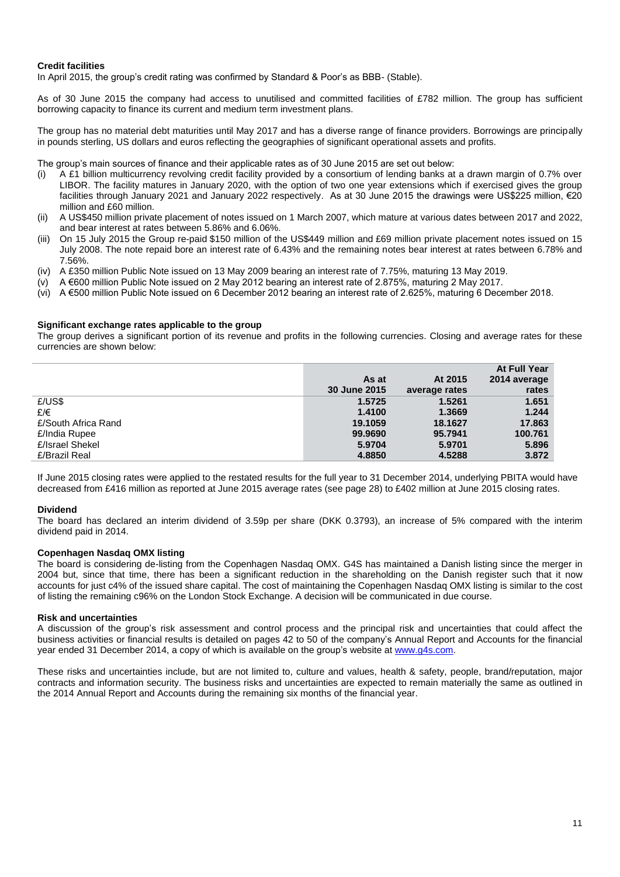#### **Credit facilities**

In April 2015, the group"s credit rating was confirmed by Standard & Poor"s as BBB- (Stable).

As of 30 June 2015 the company had access to unutilised and committed facilities of £782 million. The group has sufficient borrowing capacity to finance its current and medium term investment plans.

The group has no material debt maturities until May 2017 and has a diverse range of finance providers. Borrowings are principally in pounds sterling, US dollars and euros reflecting the geographies of significant operational assets and profits.

The group's main sources of finance and their applicable rates as of 30 June 2015 are set out below:

- (i) A £1 billion multicurrency revolving credit facility provided by a consortium of lending banks at a drawn margin of 0.7% over LIBOR. The facility matures in January 2020, with the option of two one year extensions which if exercised gives the group facilities through January 2021 and January 2022 respectively. As at 30 June 2015 the drawings were US\$225 million, €20 million and £60 million.
- (ii) A US\$450 million private placement of notes issued on 1 March 2007, which mature at various dates between 2017 and 2022, and bear interest at rates between 5.86% and 6.06%.
- (iii) On 15 July 2015 the Group re-paid \$150 million of the US\$449 million and £69 million private placement notes issued on 15 July 2008. The note repaid bore an interest rate of 6.43% and the remaining notes bear interest at rates between 6.78% and 7.56%.
- (iv) A £350 million Public Note issued on 13 May 2009 bearing an interest rate of 7.75%, maturing 13 May 2019.
- $(v)$  A  $\epsilon$ 600 million Public Note issued on 2 May 2012 bearing an interest rate of 2.875%, maturing 2 May 2017.
- (vi) A €500 million Public Note issued on 6 December 2012 bearing an interest rate of 2.625%, maturing 6 December 2018.

#### **Significant exchange rates applicable to the group**

The group derives a significant portion of its revenue and profits in the following currencies. Closing and average rates for these currencies are shown below:

|                     |              |               | At Full Year |
|---------------------|--------------|---------------|--------------|
|                     | As at        | At 2015       | 2014 average |
|                     | 30 June 2015 | average rates | rates        |
| E/US\$              | 1.5725       | 1.5261        | 1.651        |
| £/€                 | 1.4100       | 1.3669        | 1.244        |
| £/South Africa Rand | 19.1059      | 18.1627       | 17.863       |
| £/India Rupee       | 99.9690      | 95.7941       | 100.761      |
| £/Israel Shekel     | 5.9704       | 5.9701        | 5.896        |
| £/Brazil Real       | 4.8850       | 4.5288        | 3.872        |

If June 2015 closing rates were applied to the restated results for the full year to 31 December 2014, underlying PBITA would have decreased from £416 million as reported at June 2015 average rates (see page 28) to £402 million at June 2015 closing rates.

#### **Dividend**

The board has declared an interim dividend of 3.59p per share (DKK 0.3793), an increase of 5% compared with the interim dividend paid in 2014.

#### **Copenhagen Nasdaq OMX listing**

The board is considering de-listing from the Copenhagen Nasdaq OMX. G4S has maintained a Danish listing since the merger in 2004 but, since that time, there has been a significant reduction in the shareholding on the Danish register such that it now accounts for just c4% of the issued share capital. The cost of maintaining the Copenhagen Nasdaq OMX listing is similar to the cost of listing the remaining c96% on the London Stock Exchange. A decision will be communicated in due course.

#### **Risk and uncertainties**

A discussion of the group"s risk assessment and control process and the principal risk and uncertainties that could affect the business activities or financial results is detailed on pages 42 to 50 of the company"s Annual Report and Accounts for the financial year ended 31 December 2014, a copy of which is available on the group's website at [www.g4s.com.](http://www.g4s.com/)

These risks and uncertainties include, but are not limited to, culture and values, health & safety, people, brand/reputation, major contracts and information security. The business risks and uncertainties are expected to remain materially the same as outlined in the 2014 Annual Report and Accounts during the remaining six months of the financial year.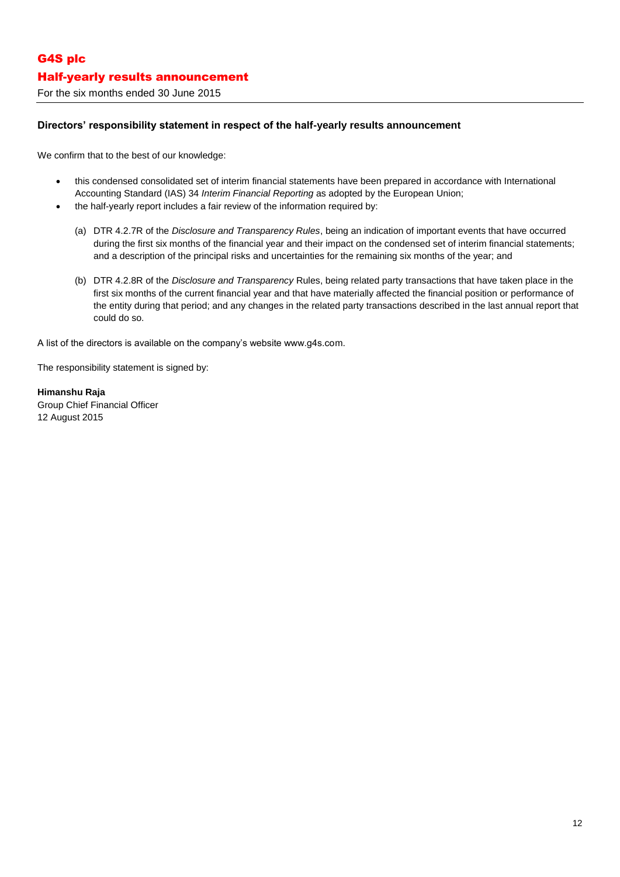## For the six months ended 30 June 2015

## **Directors' responsibility statement in respect of the half-yearly results announcement**

We confirm that to the best of our knowledge:

- this condensed consolidated set of interim financial statements have been prepared in accordance with International Accounting Standard (IAS) 34 *Interim Financial Reporting* as adopted by the European Union;
- the half-yearly report includes a fair review of the information required by:
	- (a) DTR 4.2.7R of the *Disclosure and Transparency Rules*, being an indication of important events that have occurred during the first six months of the financial year and their impact on the condensed set of interim financial statements; and a description of the principal risks and uncertainties for the remaining six months of the year; and
	- (b) DTR 4.2.8R of the *Disclosure and Transparency* Rules, being related party transactions that have taken place in the first six months of the current financial year and that have materially affected the financial position or performance of the entity during that period; and any changes in the related party transactions described in the last annual report that could do so.

A list of the directors is available on the company"s website www.g4s.com.

The responsibility statement is signed by:

**Himanshu Raja** Group Chief Financial Officer 12 August 2015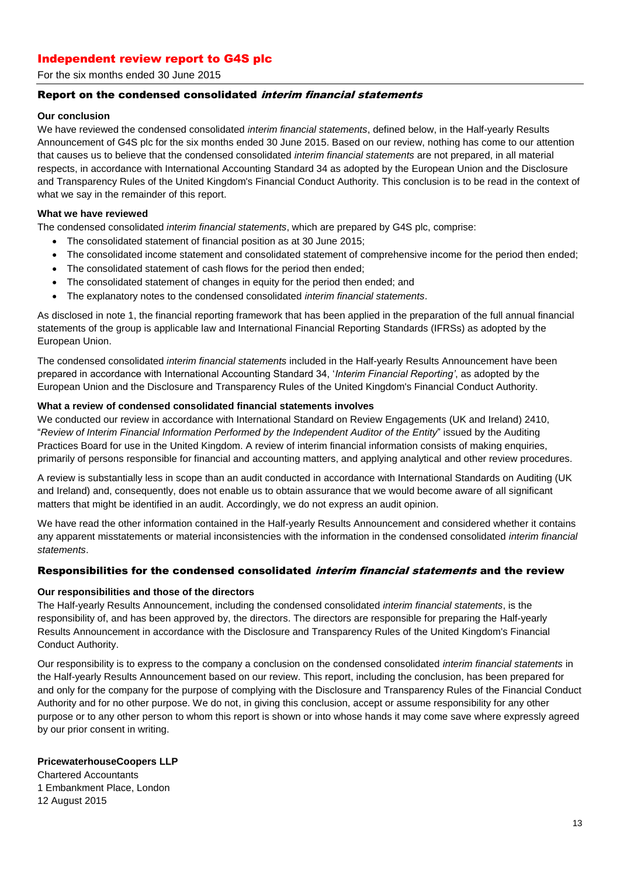## Independent review report to G4S plc

For the six months ended 30 June 2015

## Report on the condensed consolidated interim financial statements

#### **Our conclusion**

We have reviewed the condensed consolidated *interim financial statements*, defined below, in the Half-yearly Results Announcement of G4S plc for the six months ended 30 June 2015. Based on our review, nothing has come to our attention that causes us to believe that the condensed consolidated *interim financial statements* are not prepared, in all material respects, in accordance with International Accounting Standard 34 as adopted by the European Union and the Disclosure and Transparency Rules of the United Kingdom's Financial Conduct Authority. This conclusion is to be read in the context of what we say in the remainder of this report.

#### **What we have reviewed**

The condensed consolidated *interim financial statements*, which are prepared by G4S plc, comprise:

- The consolidated statement of financial position as at 30 June 2015;
- The consolidated income statement and consolidated statement of comprehensive income for the period then ended;
- The consolidated statement of cash flows for the period then ended;
- The consolidated statement of changes in equity for the period then ended; and
- The explanatory notes to the condensed consolidated *interim financial statements*.

As disclosed in note 1, the financial reporting framework that has been applied in the preparation of the full annual financial statements of the group is applicable law and International Financial Reporting Standards (IFRSs) as adopted by the European Union.

The condensed consolidated *interim financial statements* included in the Half-yearly Results Announcement have been prepared in accordance with International Accounting Standard 34, "*Interim Financial Reporting'*, as adopted by the European Union and the Disclosure and Transparency Rules of the United Kingdom's Financial Conduct Authority.

#### **What a review of condensed consolidated financial statements involves**

We conducted our review in accordance with International Standard on Review Engagements (UK and Ireland) 2410, "*Review of Interim Financial Information Performed by the Independent Auditor of the Entity*" issued by the Auditing Practices Board for use in the United Kingdom. A review of interim financial information consists of making enquiries, primarily of persons responsible for financial and accounting matters, and applying analytical and other review procedures.

A review is substantially less in scope than an audit conducted in accordance with International Standards on Auditing (UK and Ireland) and, consequently, does not enable us to obtain assurance that we would become aware of all significant matters that might be identified in an audit. Accordingly, we do not express an audit opinion.

We have read the other information contained in the Half-yearly Results Announcement and considered whether it contains any apparent misstatements or material inconsistencies with the information in the condensed consolidated *interim financial statements*.

### Responsibilities for the condensed consolidated *interim financial statements* and the review

### **Our responsibilities and those of the directors**

The Half-yearly Results Announcement, including the condensed consolidated *interim financial statements*, is the responsibility of, and has been approved by, the directors. The directors are responsible for preparing the Half-yearly Results Announcement in accordance with the Disclosure and Transparency Rules of the United Kingdom's Financial Conduct Authority.

Our responsibility is to express to the company a conclusion on the condensed consolidated *interim financial statements* in the Half-yearly Results Announcement based on our review. This report, including the conclusion, has been prepared for and only for the company for the purpose of complying with the Disclosure and Transparency Rules of the Financial Conduct Authority and for no other purpose. We do not, in giving this conclusion, accept or assume responsibility for any other purpose or to any other person to whom this report is shown or into whose hands it may come save where expressly agreed by our prior consent in writing.

#### **PricewaterhouseCoopers LLP**

Chartered Accountants 1 Embankment Place, London 12 August 2015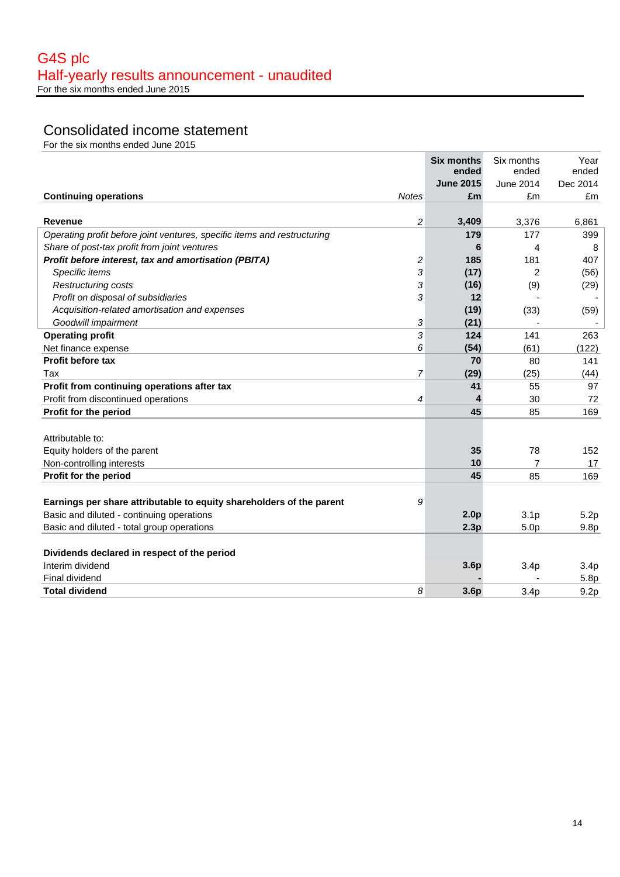# Consolidated income statement

|                                                                           | <b>Six months</b> | Six months       | Year             |
|---------------------------------------------------------------------------|-------------------|------------------|------------------|
|                                                                           | ended             | ended            | ended            |
|                                                                           | <b>June 2015</b>  | June 2014        | Dec 2014         |
| <b>Continuing operations</b><br><b>Notes</b>                              | £m                | £m               | £m               |
|                                                                           |                   |                  |                  |
| $\overline{c}$<br><b>Revenue</b>                                          | 3,409             | 3,376            | 6,861            |
| Operating profit before joint ventures, specific items and restructuring  | 179               | 177              | 399              |
| Share of post-tax profit from joint ventures                              | 6                 | 4                | 8                |
| Profit before interest, tax and amortisation (PBITA)<br>2                 | 185               | 181              | 407              |
| Specific items<br>3                                                       | (17)              | $\overline{2}$   | (56)             |
| 3<br>Restructuring costs                                                  | (16)              | (9)              | (29)             |
| 3<br>Profit on disposal of subsidiaries                                   | 12                |                  |                  |
| Acquisition-related amortisation and expenses                             | (19)              | (33)             | (59)             |
| Goodwill impairment<br>3                                                  | (21)              |                  |                  |
| 3<br><b>Operating profit</b>                                              | 124               | 141              | 263              |
| Net finance expense<br>6                                                  | (54)              | (61)             | (122)            |
| <b>Profit before tax</b>                                                  | 70                | 80               | 141              |
| 7<br>Tax                                                                  | (29)              | (25)             | (44)             |
| Profit from continuing operations after tax                               | 41                | 55               | 97               |
| Profit from discontinued operations<br>4                                  | 4                 | 30               | 72               |
| Profit for the period                                                     | 45                | 85               | 169              |
|                                                                           |                   |                  |                  |
| Attributable to:                                                          |                   |                  |                  |
| Equity holders of the parent                                              | 35                | 78               | 152              |
| Non-controlling interests                                                 | 10                | $\overline{7}$   | 17               |
| Profit for the period                                                     | 45                | 85               | 169              |
|                                                                           |                   |                  |                  |
| Earnings per share attributable to equity shareholders of the parent<br>9 |                   |                  |                  |
| Basic and diluted - continuing operations                                 | 2.0 <sub>p</sub>  | 3.1 <sub>p</sub> | 5.2p             |
| Basic and diluted - total group operations                                | 2.3p              | 5.0 <sub>p</sub> | 9.8 <sub>p</sub> |
|                                                                           |                   |                  |                  |
| Dividends declared in respect of the period                               |                   |                  |                  |
| Interim dividend                                                          | 3.6p              | 3.4 <sub>p</sub> | 3.4 <sub>p</sub> |
| <b>Final dividend</b>                                                     |                   |                  | 5.8p             |
| <b>Total dividend</b><br>8                                                | 3.6 <sub>p</sub>  | 3.4 <sub>p</sub> | 9.2p             |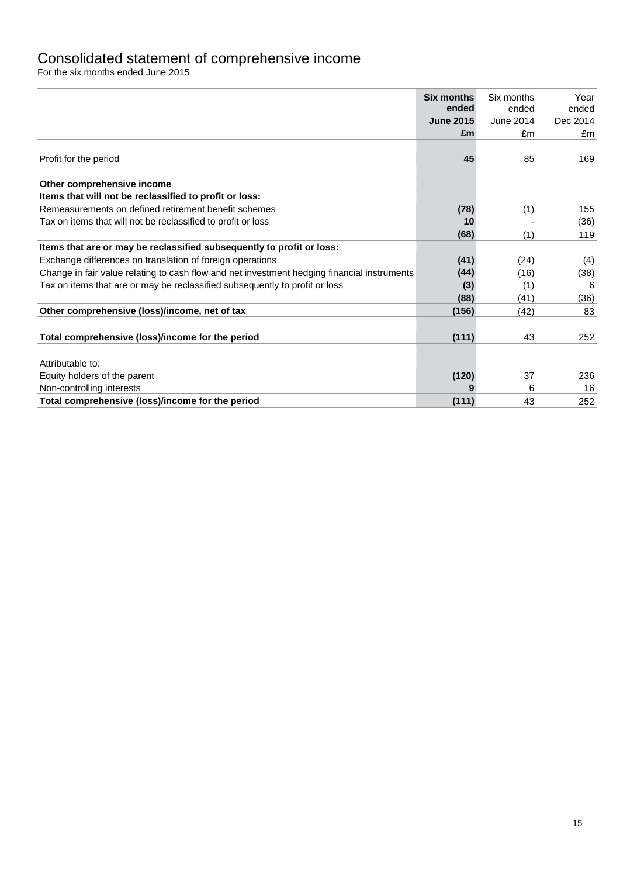## Consolidated statement of comprehensive income

|                                                                                             | <b>Six months</b> | Six months | Year     |
|---------------------------------------------------------------------------------------------|-------------------|------------|----------|
|                                                                                             | ended             | ended      | ended    |
|                                                                                             | <b>June 2015</b>  | June 2014  | Dec 2014 |
|                                                                                             | £m                | £m         | £m       |
| Profit for the period                                                                       | 45                | 85         | 169      |
| Other comprehensive income                                                                  |                   |            |          |
| Items that will not be reclassified to profit or loss:                                      |                   |            |          |
| Remeasurements on defined retirement benefit schemes                                        | (78)              | (1)        | 155      |
| Tax on items that will not be reclassified to profit or loss                                | 10                |            | (36)     |
|                                                                                             | (68)              | (1)        | 119      |
| Items that are or may be reclassified subsequently to profit or loss:                       |                   |            |          |
| Exchange differences on translation of foreign operations                                   | (41)              | (24)       | (4)      |
| Change in fair value relating to cash flow and net investment hedging financial instruments | (44)              | (16)       | (38)     |
| Tax on items that are or may be reclassified subsequently to profit or loss                 | (3)               | (1)        | 6        |
|                                                                                             | (88)              | (41)       | (36)     |
| Other comprehensive (loss)/income, net of tax                                               | (156)             | (42)       | 83       |
| Total comprehensive (loss)/income for the period                                            | (111)             | 43         | 252      |
| Attributable to:                                                                            |                   |            |          |
| Equity holders of the parent                                                                | (120)             | 37         | 236      |
| Non-controlling interests                                                                   |                   | 6          | 16       |
| Total comprehensive (loss)/income for the period                                            | (111)             | 43         | 252      |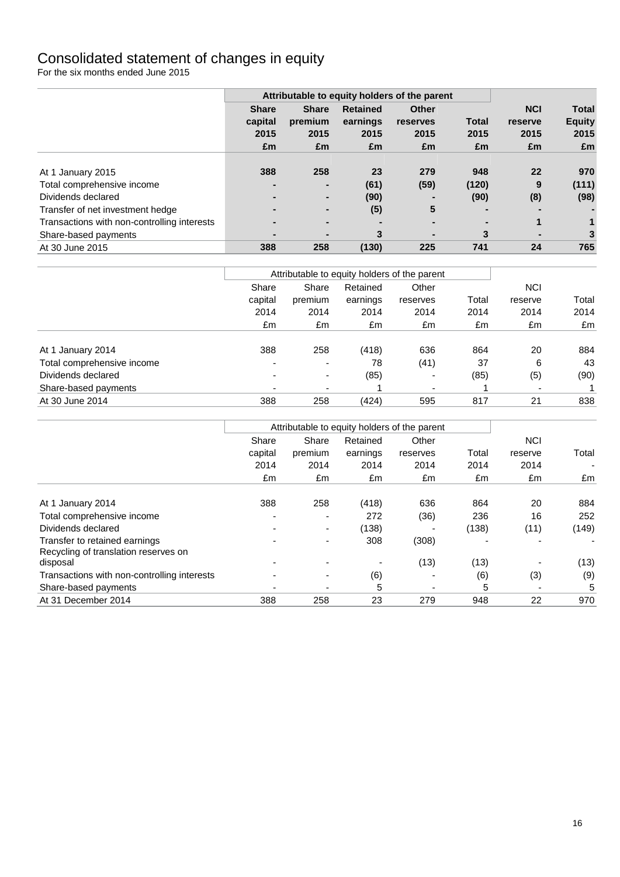## Consolidated statement of changes in equity

|                                             | Attributable to equity holders of the parent |                |                 |              |              |            |               |
|---------------------------------------------|----------------------------------------------|----------------|-----------------|--------------|--------------|------------|---------------|
|                                             | <b>Share</b>                                 | <b>Share</b>   | <b>Retained</b> | <b>Other</b> |              | <b>NCI</b> | <b>Total</b>  |
|                                             | capital                                      | premium        | earnings        | reserves     | <b>Total</b> | reserve    | <b>Equity</b> |
|                                             | 2015                                         | 2015           | 2015            | 2015         | 2015         | 2015       | 2015          |
|                                             | £m                                           | £m             | £m              | £m           | £m           | £m         | £m            |
| At 1 January 2015                           | 388                                          | 258            | 23              | 279          | 948          | 22         | 970           |
| Total comprehensive income                  |                                              | $\blacksquare$ | (61)            | (59)         | (120)        | 9          | (111)         |
| Dividends declared                          |                                              | $\blacksquare$ | (90)            |              | (90)         | (8)        | (98)          |
| Transfer of net investment hedge            |                                              | $\blacksquare$ | (5)             | 5            | -            |            |               |
| Transactions with non-controlling interests |                                              |                |                 |              |              |            | 1             |
| Share-based payments                        |                                              |                | 3               | -            | 3            | -          | 3             |
| At 30 June 2015                             | 388                                          | 258            | (130)           | 225          | 741          | 24         | 765           |

|                            |                                     |                          |            | Attributable to equity holders of the parent |       |                          |       |
|----------------------------|-------------------------------------|--------------------------|------------|----------------------------------------------|-------|--------------------------|-------|
|                            | Retained<br>Share<br>Share<br>Other |                          | <b>NCI</b> |                                              |       |                          |       |
|                            | capital                             | premium                  | earnings   | reserves                                     | Total | reserve                  | Total |
|                            | 2014                                | 2014                     | 2014       | 2014                                         | 2014  | 2014                     | 2014  |
|                            | £m                                  | £m                       | £m         | £m                                           | £m    | £m                       | £m    |
| At 1 January 2014          | 388                                 | 258                      | (418)      | 636                                          | 864   | 20                       | 884   |
| Total comprehensive income | $\overline{\phantom{a}}$            | $\overline{\phantom{a}}$ | 78         | (41)                                         | 37    | 6                        | 43    |
| Dividends declared         | -                                   | $\overline{\phantom{a}}$ | (85)       | $\overline{\phantom{0}}$                     | (85)  | (5)                      | (90)  |
| Share-based payments       |                                     |                          |            | $\overline{\phantom{0}}$                     |       | $\overline{\phantom{0}}$ |       |
| At 30 June 2014            | 388                                 | 258                      | (424)      | 595                                          | 817   | 21                       | 838   |

|                                                                       |         |                          |          | Attributable to equity holders of the parent |       |            |       |
|-----------------------------------------------------------------------|---------|--------------------------|----------|----------------------------------------------|-------|------------|-------|
|                                                                       | Share   | Share                    | Retained | Other<br>reserves                            |       | <b>NCI</b> |       |
|                                                                       | capital | premium                  | earnings |                                              | Total | reserve    | Total |
|                                                                       | 2014    | 2014                     | 2014     | 2014                                         | 2014  | 2014       |       |
|                                                                       | £m      | £m                       | £m       | £m                                           | £m    | £m         | £m    |
| At 1 January 2014                                                     | 388     | 258                      | (418)    | 636                                          | 864   | 20         | 884   |
| Total comprehensive income                                            |         | $\overline{\phantom{0}}$ | 272      | (36)                                         | 236   | 16         | 252   |
| Dividends declared                                                    |         | ۰.                       | (138)    |                                              | (138) | (11)       | (149) |
| Transfer to retained earnings<br>Recycling of translation reserves on |         |                          | 308      | (308)                                        |       |            |       |
| disposal                                                              |         |                          |          | (13)                                         | (13)  |            | (13)  |
| Transactions with non-controlling interests                           |         |                          | (6)      |                                              | (6)   | (3)        | (9)   |
| Share-based payments                                                  |         | $\overline{\phantom{0}}$ | 5        | $\overline{\phantom{0}}$                     | 5     | -          | 5     |
| At 31 December 2014                                                   | 388     | 258                      | 23       | 279                                          | 948   | 22         | 970   |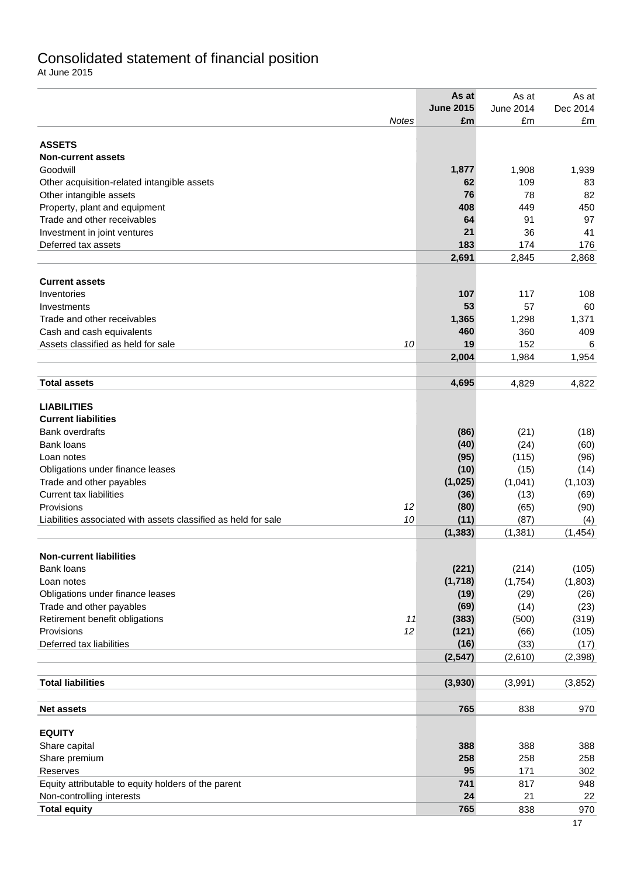## Consolidated statement of financial position

At June 2015

|                                                                      | As at            | As at            | As at    |
|----------------------------------------------------------------------|------------------|------------------|----------|
|                                                                      | <b>June 2015</b> | <b>June 2014</b> | Dec 2014 |
| Notes                                                                | £m               | £m               | £m       |
|                                                                      |                  |                  |          |
| <b>ASSETS</b>                                                        |                  |                  |          |
| <b>Non-current assets</b>                                            |                  |                  |          |
| Goodwill                                                             | 1,877            | 1,908            | 1,939    |
| Other acquisition-related intangible assets                          | 62               | 109              | 83       |
| Other intangible assets                                              | 76               | 78               | 82       |
| Property, plant and equipment                                        | 408              | 449              | 450      |
| Trade and other receivables                                          | 64               | 91               | 97       |
| Investment in joint ventures                                         | 21               | 36               | 41       |
| Deferred tax assets                                                  | 183              | 174              | 176      |
|                                                                      | 2,691            | 2,845            | 2,868    |
| <b>Current assets</b>                                                |                  |                  |          |
| Inventories                                                          | 107              | 117              | 108      |
| Investments                                                          | 53               | 57               | 60       |
| Trade and other receivables                                          | 1,365            | 1,298            | 1,371    |
| Cash and cash equivalents                                            | 460              | 360              | 409      |
| Assets classified as held for sale<br>10                             | 19               | 152              | 6        |
|                                                                      | 2,004            | 1,984            | 1,954    |
|                                                                      |                  |                  |          |
| <b>Total assets</b>                                                  | 4,695            | 4,829            | 4,822    |
| <b>LIABILITIES</b>                                                   |                  |                  |          |
| <b>Current liabilities</b>                                           |                  |                  |          |
| <b>Bank overdrafts</b>                                               | (86)             | (21)             | (18)     |
| <b>Bank loans</b>                                                    | (40)             | (24)             | (60)     |
| Loan notes                                                           | (95)             | (115)            | (96)     |
| Obligations under finance leases                                     | (10)             | (15)             | (14)     |
| Trade and other payables                                             | (1,025)          | (1,041)          | (1, 103) |
| <b>Current tax liabilities</b>                                       | (36)             | (13)             | (69)     |
| Provisions<br>12                                                     | (80)             | (65)             | (90)     |
| 10<br>Liabilities associated with assets classified as held for sale | (11)             | (87)             | (4)      |
|                                                                      | (1, 383)         | (1, 381)         | (1, 454) |
|                                                                      |                  |                  |          |
| <b>Non-current liabilities</b>                                       |                  |                  |          |
| <b>Bank loans</b>                                                    | (221)            | (214)            | (105)    |
| Loan notes                                                           | (1,718)          | (1,754)          | (1,803)  |
| Obligations under finance leases                                     | (19)             | (29)             | (26)     |
| Trade and other payables                                             | (69)             | (14)             | (23)     |
| Retirement benefit obligations<br>11                                 | (383)            | (500)            | (319)    |
| 12<br>Provisions                                                     | (121)            | (66)             | (105)    |
| Deferred tax liabilities                                             | (16)             | (33)             | (17)     |
|                                                                      | (2, 547)         | (2,610)          | (2, 398) |
| <b>Total liabilities</b>                                             | (3,930)          | (3,991)          | (3, 852) |
|                                                                      |                  |                  |          |
| <b>Net assets</b>                                                    | 765              | 838              | 970      |
|                                                                      |                  |                  |          |
| <b>EQUITY</b><br>Share capital                                       | 388              | 388              | 388      |
| Share premium                                                        | 258              | 258              | 258      |
| Reserves                                                             | 95               | 171              | 302      |
| Equity attributable to equity holders of the parent                  | 741              | 817              | 948      |
| Non-controlling interests                                            | 24               | 21               | 22       |
| <b>Total equity</b>                                                  | 765              | 838              | 970      |
|                                                                      |                  |                  |          |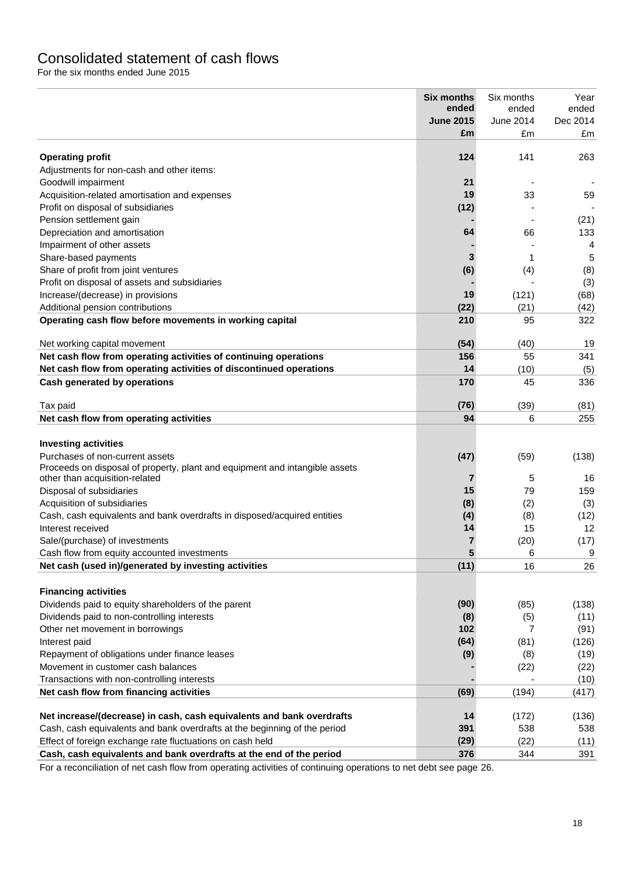# Consolidated statement of cash flows

For the six months ended June 2015

| £m<br>£m<br>£m<br>124<br><b>Operating profit</b><br>141<br>263<br>Adjustments for non-cash and other items:<br>21<br>Goodwill impairment<br>19<br>Acquisition-related amortisation and expenses<br>33<br>59<br>(12)<br>Profit on disposal of subsidiaries<br>Pension settlement gain<br>(21)<br>Depreciation and amortisation<br>64<br>66<br>133<br>Impairment of other assets<br>4<br>3<br>Share-based payments<br>5<br>1<br>(6)<br>Share of profit from joint ventures<br>(4)<br>(8)<br>Profit on disposal of assets and subsidiaries<br>(3)<br>19<br>Increase/(decrease) in provisions<br>(121)<br>(68)<br>(22)<br>Additional pension contributions<br>(21)<br>(42)<br>322<br>Operating cash flow before movements in working capital<br>210<br>95<br>(54)<br>Net working capital movement<br>(40)<br>19<br>Net cash flow from operating activities of continuing operations<br>156<br>55<br>341<br>Net cash flow from operating activities of discontinued operations<br>14<br>(10)<br>(5)<br><b>Cash generated by operations</b><br>170<br>45<br>336<br>Tax paid<br>(76)<br>(39)<br>(81)<br>Net cash flow from operating activities<br>94<br>255<br>6<br><b>Investing activities</b><br>Purchases of non-current assets<br>(47)<br>(59)<br>(138)<br>Proceeds on disposal of property, plant and equipment and intangible assets<br>other than acquisition-related<br>$\overline{7}$<br>5<br>16<br>Disposal of subsidiaries<br>15<br>79<br>159<br>Acquisition of subsidiaries<br>(2)<br>(8)<br>(3)<br>(8)<br>Cash, cash equivalents and bank overdrafts in disposed/acquired entities<br>(4)<br>(12)<br>Interest received<br>14<br>15<br>12<br>Sale/(purchase) of investments<br>7<br>(20)<br>(17)<br>5<br>6<br>9<br>Cash flow from equity accounted investments<br>Net cash (used in)/generated by investing activities<br>(11)<br>16<br>26<br><b>Financing activities</b><br>Dividends paid to equity shareholders of the parent<br>(90)<br>(85)<br>(138)<br>Dividends paid to non-controlling interests<br>(8)<br>(5)<br>(11)<br>102<br>Other net movement in borrowings<br>7<br>(91)<br>(64)<br>Interest paid<br>(81)<br>(126)<br>(9)<br>Repayment of obligations under finance leases<br>(8)<br>(19)<br>Movement in customer cash balances<br>(22)<br>(22)<br>Transactions with non-controlling interests<br>(10)<br>Net cash flow from financing activities<br>(69)<br>(194)<br>(417)<br>Net increase/(decrease) in cash, cash equivalents and bank overdrafts<br>14<br>(172)<br>(136)<br>391<br>Cash, cash equivalents and bank overdrafts at the beginning of the period<br>538<br>538<br>(29)<br>Effect of foreign exchange rate fluctuations on cash held<br>(22)<br>(11)<br>Cash, cash equivalents and bank overdrafts at the end of the period<br>376<br>344<br>391 | <b>Six months</b><br>ended<br><b>June 2015</b> | Six months<br>ended<br>June 2014 | Year<br>ended<br>Dec 2014 |
|-------------------------------------------------------------------------------------------------------------------------------------------------------------------------------------------------------------------------------------------------------------------------------------------------------------------------------------------------------------------------------------------------------------------------------------------------------------------------------------------------------------------------------------------------------------------------------------------------------------------------------------------------------------------------------------------------------------------------------------------------------------------------------------------------------------------------------------------------------------------------------------------------------------------------------------------------------------------------------------------------------------------------------------------------------------------------------------------------------------------------------------------------------------------------------------------------------------------------------------------------------------------------------------------------------------------------------------------------------------------------------------------------------------------------------------------------------------------------------------------------------------------------------------------------------------------------------------------------------------------------------------------------------------------------------------------------------------------------------------------------------------------------------------------------------------------------------------------------------------------------------------------------------------------------------------------------------------------------------------------------------------------------------------------------------------------------------------------------------------------------------------------------------------------------------------------------------------------------------------------------------------------------------------------------------------------------------------------------------------------------------------------------------------------------------------------------------------------------------------------------------------------------------------------------------------------------------------------------------------------------------------------------------------------------------------------------------------------------------------------------------------------------------------|------------------------------------------------|----------------------------------|---------------------------|
|                                                                                                                                                                                                                                                                                                                                                                                                                                                                                                                                                                                                                                                                                                                                                                                                                                                                                                                                                                                                                                                                                                                                                                                                                                                                                                                                                                                                                                                                                                                                                                                                                                                                                                                                                                                                                                                                                                                                                                                                                                                                                                                                                                                                                                                                                                                                                                                                                                                                                                                                                                                                                                                                                                                                                                                     |                                                |                                  |                           |
|                                                                                                                                                                                                                                                                                                                                                                                                                                                                                                                                                                                                                                                                                                                                                                                                                                                                                                                                                                                                                                                                                                                                                                                                                                                                                                                                                                                                                                                                                                                                                                                                                                                                                                                                                                                                                                                                                                                                                                                                                                                                                                                                                                                                                                                                                                                                                                                                                                                                                                                                                                                                                                                                                                                                                                                     |                                                |                                  |                           |
|                                                                                                                                                                                                                                                                                                                                                                                                                                                                                                                                                                                                                                                                                                                                                                                                                                                                                                                                                                                                                                                                                                                                                                                                                                                                                                                                                                                                                                                                                                                                                                                                                                                                                                                                                                                                                                                                                                                                                                                                                                                                                                                                                                                                                                                                                                                                                                                                                                                                                                                                                                                                                                                                                                                                                                                     |                                                |                                  |                           |
|                                                                                                                                                                                                                                                                                                                                                                                                                                                                                                                                                                                                                                                                                                                                                                                                                                                                                                                                                                                                                                                                                                                                                                                                                                                                                                                                                                                                                                                                                                                                                                                                                                                                                                                                                                                                                                                                                                                                                                                                                                                                                                                                                                                                                                                                                                                                                                                                                                                                                                                                                                                                                                                                                                                                                                                     |                                                |                                  |                           |
|                                                                                                                                                                                                                                                                                                                                                                                                                                                                                                                                                                                                                                                                                                                                                                                                                                                                                                                                                                                                                                                                                                                                                                                                                                                                                                                                                                                                                                                                                                                                                                                                                                                                                                                                                                                                                                                                                                                                                                                                                                                                                                                                                                                                                                                                                                                                                                                                                                                                                                                                                                                                                                                                                                                                                                                     |                                                |                                  |                           |
|                                                                                                                                                                                                                                                                                                                                                                                                                                                                                                                                                                                                                                                                                                                                                                                                                                                                                                                                                                                                                                                                                                                                                                                                                                                                                                                                                                                                                                                                                                                                                                                                                                                                                                                                                                                                                                                                                                                                                                                                                                                                                                                                                                                                                                                                                                                                                                                                                                                                                                                                                                                                                                                                                                                                                                                     |                                                |                                  |                           |
|                                                                                                                                                                                                                                                                                                                                                                                                                                                                                                                                                                                                                                                                                                                                                                                                                                                                                                                                                                                                                                                                                                                                                                                                                                                                                                                                                                                                                                                                                                                                                                                                                                                                                                                                                                                                                                                                                                                                                                                                                                                                                                                                                                                                                                                                                                                                                                                                                                                                                                                                                                                                                                                                                                                                                                                     |                                                |                                  |                           |
|                                                                                                                                                                                                                                                                                                                                                                                                                                                                                                                                                                                                                                                                                                                                                                                                                                                                                                                                                                                                                                                                                                                                                                                                                                                                                                                                                                                                                                                                                                                                                                                                                                                                                                                                                                                                                                                                                                                                                                                                                                                                                                                                                                                                                                                                                                                                                                                                                                                                                                                                                                                                                                                                                                                                                                                     |                                                |                                  |                           |
|                                                                                                                                                                                                                                                                                                                                                                                                                                                                                                                                                                                                                                                                                                                                                                                                                                                                                                                                                                                                                                                                                                                                                                                                                                                                                                                                                                                                                                                                                                                                                                                                                                                                                                                                                                                                                                                                                                                                                                                                                                                                                                                                                                                                                                                                                                                                                                                                                                                                                                                                                                                                                                                                                                                                                                                     |                                                |                                  |                           |
|                                                                                                                                                                                                                                                                                                                                                                                                                                                                                                                                                                                                                                                                                                                                                                                                                                                                                                                                                                                                                                                                                                                                                                                                                                                                                                                                                                                                                                                                                                                                                                                                                                                                                                                                                                                                                                                                                                                                                                                                                                                                                                                                                                                                                                                                                                                                                                                                                                                                                                                                                                                                                                                                                                                                                                                     |                                                |                                  |                           |
|                                                                                                                                                                                                                                                                                                                                                                                                                                                                                                                                                                                                                                                                                                                                                                                                                                                                                                                                                                                                                                                                                                                                                                                                                                                                                                                                                                                                                                                                                                                                                                                                                                                                                                                                                                                                                                                                                                                                                                                                                                                                                                                                                                                                                                                                                                                                                                                                                                                                                                                                                                                                                                                                                                                                                                                     |                                                |                                  |                           |
|                                                                                                                                                                                                                                                                                                                                                                                                                                                                                                                                                                                                                                                                                                                                                                                                                                                                                                                                                                                                                                                                                                                                                                                                                                                                                                                                                                                                                                                                                                                                                                                                                                                                                                                                                                                                                                                                                                                                                                                                                                                                                                                                                                                                                                                                                                                                                                                                                                                                                                                                                                                                                                                                                                                                                                                     |                                                |                                  |                           |
|                                                                                                                                                                                                                                                                                                                                                                                                                                                                                                                                                                                                                                                                                                                                                                                                                                                                                                                                                                                                                                                                                                                                                                                                                                                                                                                                                                                                                                                                                                                                                                                                                                                                                                                                                                                                                                                                                                                                                                                                                                                                                                                                                                                                                                                                                                                                                                                                                                                                                                                                                                                                                                                                                                                                                                                     |                                                |                                  |                           |
|                                                                                                                                                                                                                                                                                                                                                                                                                                                                                                                                                                                                                                                                                                                                                                                                                                                                                                                                                                                                                                                                                                                                                                                                                                                                                                                                                                                                                                                                                                                                                                                                                                                                                                                                                                                                                                                                                                                                                                                                                                                                                                                                                                                                                                                                                                                                                                                                                                                                                                                                                                                                                                                                                                                                                                                     |                                                |                                  |                           |
|                                                                                                                                                                                                                                                                                                                                                                                                                                                                                                                                                                                                                                                                                                                                                                                                                                                                                                                                                                                                                                                                                                                                                                                                                                                                                                                                                                                                                                                                                                                                                                                                                                                                                                                                                                                                                                                                                                                                                                                                                                                                                                                                                                                                                                                                                                                                                                                                                                                                                                                                                                                                                                                                                                                                                                                     |                                                |                                  |                           |
|                                                                                                                                                                                                                                                                                                                                                                                                                                                                                                                                                                                                                                                                                                                                                                                                                                                                                                                                                                                                                                                                                                                                                                                                                                                                                                                                                                                                                                                                                                                                                                                                                                                                                                                                                                                                                                                                                                                                                                                                                                                                                                                                                                                                                                                                                                                                                                                                                                                                                                                                                                                                                                                                                                                                                                                     |                                                |                                  |                           |
|                                                                                                                                                                                                                                                                                                                                                                                                                                                                                                                                                                                                                                                                                                                                                                                                                                                                                                                                                                                                                                                                                                                                                                                                                                                                                                                                                                                                                                                                                                                                                                                                                                                                                                                                                                                                                                                                                                                                                                                                                                                                                                                                                                                                                                                                                                                                                                                                                                                                                                                                                                                                                                                                                                                                                                                     |                                                |                                  |                           |
|                                                                                                                                                                                                                                                                                                                                                                                                                                                                                                                                                                                                                                                                                                                                                                                                                                                                                                                                                                                                                                                                                                                                                                                                                                                                                                                                                                                                                                                                                                                                                                                                                                                                                                                                                                                                                                                                                                                                                                                                                                                                                                                                                                                                                                                                                                                                                                                                                                                                                                                                                                                                                                                                                                                                                                                     |                                                |                                  |                           |
|                                                                                                                                                                                                                                                                                                                                                                                                                                                                                                                                                                                                                                                                                                                                                                                                                                                                                                                                                                                                                                                                                                                                                                                                                                                                                                                                                                                                                                                                                                                                                                                                                                                                                                                                                                                                                                                                                                                                                                                                                                                                                                                                                                                                                                                                                                                                                                                                                                                                                                                                                                                                                                                                                                                                                                                     |                                                |                                  |                           |
|                                                                                                                                                                                                                                                                                                                                                                                                                                                                                                                                                                                                                                                                                                                                                                                                                                                                                                                                                                                                                                                                                                                                                                                                                                                                                                                                                                                                                                                                                                                                                                                                                                                                                                                                                                                                                                                                                                                                                                                                                                                                                                                                                                                                                                                                                                                                                                                                                                                                                                                                                                                                                                                                                                                                                                                     |                                                |                                  |                           |
|                                                                                                                                                                                                                                                                                                                                                                                                                                                                                                                                                                                                                                                                                                                                                                                                                                                                                                                                                                                                                                                                                                                                                                                                                                                                                                                                                                                                                                                                                                                                                                                                                                                                                                                                                                                                                                                                                                                                                                                                                                                                                                                                                                                                                                                                                                                                                                                                                                                                                                                                                                                                                                                                                                                                                                                     |                                                |                                  |                           |
|                                                                                                                                                                                                                                                                                                                                                                                                                                                                                                                                                                                                                                                                                                                                                                                                                                                                                                                                                                                                                                                                                                                                                                                                                                                                                                                                                                                                                                                                                                                                                                                                                                                                                                                                                                                                                                                                                                                                                                                                                                                                                                                                                                                                                                                                                                                                                                                                                                                                                                                                                                                                                                                                                                                                                                                     |                                                |                                  |                           |
|                                                                                                                                                                                                                                                                                                                                                                                                                                                                                                                                                                                                                                                                                                                                                                                                                                                                                                                                                                                                                                                                                                                                                                                                                                                                                                                                                                                                                                                                                                                                                                                                                                                                                                                                                                                                                                                                                                                                                                                                                                                                                                                                                                                                                                                                                                                                                                                                                                                                                                                                                                                                                                                                                                                                                                                     |                                                |                                  |                           |
|                                                                                                                                                                                                                                                                                                                                                                                                                                                                                                                                                                                                                                                                                                                                                                                                                                                                                                                                                                                                                                                                                                                                                                                                                                                                                                                                                                                                                                                                                                                                                                                                                                                                                                                                                                                                                                                                                                                                                                                                                                                                                                                                                                                                                                                                                                                                                                                                                                                                                                                                                                                                                                                                                                                                                                                     |                                                |                                  |                           |
|                                                                                                                                                                                                                                                                                                                                                                                                                                                                                                                                                                                                                                                                                                                                                                                                                                                                                                                                                                                                                                                                                                                                                                                                                                                                                                                                                                                                                                                                                                                                                                                                                                                                                                                                                                                                                                                                                                                                                                                                                                                                                                                                                                                                                                                                                                                                                                                                                                                                                                                                                                                                                                                                                                                                                                                     |                                                |                                  |                           |
|                                                                                                                                                                                                                                                                                                                                                                                                                                                                                                                                                                                                                                                                                                                                                                                                                                                                                                                                                                                                                                                                                                                                                                                                                                                                                                                                                                                                                                                                                                                                                                                                                                                                                                                                                                                                                                                                                                                                                                                                                                                                                                                                                                                                                                                                                                                                                                                                                                                                                                                                                                                                                                                                                                                                                                                     |                                                |                                  |                           |
|                                                                                                                                                                                                                                                                                                                                                                                                                                                                                                                                                                                                                                                                                                                                                                                                                                                                                                                                                                                                                                                                                                                                                                                                                                                                                                                                                                                                                                                                                                                                                                                                                                                                                                                                                                                                                                                                                                                                                                                                                                                                                                                                                                                                                                                                                                                                                                                                                                                                                                                                                                                                                                                                                                                                                                                     |                                                |                                  |                           |
|                                                                                                                                                                                                                                                                                                                                                                                                                                                                                                                                                                                                                                                                                                                                                                                                                                                                                                                                                                                                                                                                                                                                                                                                                                                                                                                                                                                                                                                                                                                                                                                                                                                                                                                                                                                                                                                                                                                                                                                                                                                                                                                                                                                                                                                                                                                                                                                                                                                                                                                                                                                                                                                                                                                                                                                     |                                                |                                  |                           |
|                                                                                                                                                                                                                                                                                                                                                                                                                                                                                                                                                                                                                                                                                                                                                                                                                                                                                                                                                                                                                                                                                                                                                                                                                                                                                                                                                                                                                                                                                                                                                                                                                                                                                                                                                                                                                                                                                                                                                                                                                                                                                                                                                                                                                                                                                                                                                                                                                                                                                                                                                                                                                                                                                                                                                                                     |                                                |                                  |                           |
|                                                                                                                                                                                                                                                                                                                                                                                                                                                                                                                                                                                                                                                                                                                                                                                                                                                                                                                                                                                                                                                                                                                                                                                                                                                                                                                                                                                                                                                                                                                                                                                                                                                                                                                                                                                                                                                                                                                                                                                                                                                                                                                                                                                                                                                                                                                                                                                                                                                                                                                                                                                                                                                                                                                                                                                     |                                                |                                  |                           |
|                                                                                                                                                                                                                                                                                                                                                                                                                                                                                                                                                                                                                                                                                                                                                                                                                                                                                                                                                                                                                                                                                                                                                                                                                                                                                                                                                                                                                                                                                                                                                                                                                                                                                                                                                                                                                                                                                                                                                                                                                                                                                                                                                                                                                                                                                                                                                                                                                                                                                                                                                                                                                                                                                                                                                                                     |                                                |                                  |                           |
|                                                                                                                                                                                                                                                                                                                                                                                                                                                                                                                                                                                                                                                                                                                                                                                                                                                                                                                                                                                                                                                                                                                                                                                                                                                                                                                                                                                                                                                                                                                                                                                                                                                                                                                                                                                                                                                                                                                                                                                                                                                                                                                                                                                                                                                                                                                                                                                                                                                                                                                                                                                                                                                                                                                                                                                     |                                                |                                  |                           |
|                                                                                                                                                                                                                                                                                                                                                                                                                                                                                                                                                                                                                                                                                                                                                                                                                                                                                                                                                                                                                                                                                                                                                                                                                                                                                                                                                                                                                                                                                                                                                                                                                                                                                                                                                                                                                                                                                                                                                                                                                                                                                                                                                                                                                                                                                                                                                                                                                                                                                                                                                                                                                                                                                                                                                                                     |                                                |                                  |                           |
|                                                                                                                                                                                                                                                                                                                                                                                                                                                                                                                                                                                                                                                                                                                                                                                                                                                                                                                                                                                                                                                                                                                                                                                                                                                                                                                                                                                                                                                                                                                                                                                                                                                                                                                                                                                                                                                                                                                                                                                                                                                                                                                                                                                                                                                                                                                                                                                                                                                                                                                                                                                                                                                                                                                                                                                     |                                                |                                  |                           |
|                                                                                                                                                                                                                                                                                                                                                                                                                                                                                                                                                                                                                                                                                                                                                                                                                                                                                                                                                                                                                                                                                                                                                                                                                                                                                                                                                                                                                                                                                                                                                                                                                                                                                                                                                                                                                                                                                                                                                                                                                                                                                                                                                                                                                                                                                                                                                                                                                                                                                                                                                                                                                                                                                                                                                                                     |                                                |                                  |                           |
|                                                                                                                                                                                                                                                                                                                                                                                                                                                                                                                                                                                                                                                                                                                                                                                                                                                                                                                                                                                                                                                                                                                                                                                                                                                                                                                                                                                                                                                                                                                                                                                                                                                                                                                                                                                                                                                                                                                                                                                                                                                                                                                                                                                                                                                                                                                                                                                                                                                                                                                                                                                                                                                                                                                                                                                     |                                                |                                  |                           |
|                                                                                                                                                                                                                                                                                                                                                                                                                                                                                                                                                                                                                                                                                                                                                                                                                                                                                                                                                                                                                                                                                                                                                                                                                                                                                                                                                                                                                                                                                                                                                                                                                                                                                                                                                                                                                                                                                                                                                                                                                                                                                                                                                                                                                                                                                                                                                                                                                                                                                                                                                                                                                                                                                                                                                                                     |                                                |                                  |                           |
|                                                                                                                                                                                                                                                                                                                                                                                                                                                                                                                                                                                                                                                                                                                                                                                                                                                                                                                                                                                                                                                                                                                                                                                                                                                                                                                                                                                                                                                                                                                                                                                                                                                                                                                                                                                                                                                                                                                                                                                                                                                                                                                                                                                                                                                                                                                                                                                                                                                                                                                                                                                                                                                                                                                                                                                     |                                                |                                  |                           |
|                                                                                                                                                                                                                                                                                                                                                                                                                                                                                                                                                                                                                                                                                                                                                                                                                                                                                                                                                                                                                                                                                                                                                                                                                                                                                                                                                                                                                                                                                                                                                                                                                                                                                                                                                                                                                                                                                                                                                                                                                                                                                                                                                                                                                                                                                                                                                                                                                                                                                                                                                                                                                                                                                                                                                                                     |                                                |                                  |                           |
|                                                                                                                                                                                                                                                                                                                                                                                                                                                                                                                                                                                                                                                                                                                                                                                                                                                                                                                                                                                                                                                                                                                                                                                                                                                                                                                                                                                                                                                                                                                                                                                                                                                                                                                                                                                                                                                                                                                                                                                                                                                                                                                                                                                                                                                                                                                                                                                                                                                                                                                                                                                                                                                                                                                                                                                     |                                                |                                  |                           |
|                                                                                                                                                                                                                                                                                                                                                                                                                                                                                                                                                                                                                                                                                                                                                                                                                                                                                                                                                                                                                                                                                                                                                                                                                                                                                                                                                                                                                                                                                                                                                                                                                                                                                                                                                                                                                                                                                                                                                                                                                                                                                                                                                                                                                                                                                                                                                                                                                                                                                                                                                                                                                                                                                                                                                                                     |                                                |                                  |                           |
|                                                                                                                                                                                                                                                                                                                                                                                                                                                                                                                                                                                                                                                                                                                                                                                                                                                                                                                                                                                                                                                                                                                                                                                                                                                                                                                                                                                                                                                                                                                                                                                                                                                                                                                                                                                                                                                                                                                                                                                                                                                                                                                                                                                                                                                                                                                                                                                                                                                                                                                                                                                                                                                                                                                                                                                     |                                                |                                  |                           |
|                                                                                                                                                                                                                                                                                                                                                                                                                                                                                                                                                                                                                                                                                                                                                                                                                                                                                                                                                                                                                                                                                                                                                                                                                                                                                                                                                                                                                                                                                                                                                                                                                                                                                                                                                                                                                                                                                                                                                                                                                                                                                                                                                                                                                                                                                                                                                                                                                                                                                                                                                                                                                                                                                                                                                                                     |                                                |                                  |                           |
|                                                                                                                                                                                                                                                                                                                                                                                                                                                                                                                                                                                                                                                                                                                                                                                                                                                                                                                                                                                                                                                                                                                                                                                                                                                                                                                                                                                                                                                                                                                                                                                                                                                                                                                                                                                                                                                                                                                                                                                                                                                                                                                                                                                                                                                                                                                                                                                                                                                                                                                                                                                                                                                                                                                                                                                     |                                                |                                  |                           |
|                                                                                                                                                                                                                                                                                                                                                                                                                                                                                                                                                                                                                                                                                                                                                                                                                                                                                                                                                                                                                                                                                                                                                                                                                                                                                                                                                                                                                                                                                                                                                                                                                                                                                                                                                                                                                                                                                                                                                                                                                                                                                                                                                                                                                                                                                                                                                                                                                                                                                                                                                                                                                                                                                                                                                                                     |                                                |                                  |                           |
|                                                                                                                                                                                                                                                                                                                                                                                                                                                                                                                                                                                                                                                                                                                                                                                                                                                                                                                                                                                                                                                                                                                                                                                                                                                                                                                                                                                                                                                                                                                                                                                                                                                                                                                                                                                                                                                                                                                                                                                                                                                                                                                                                                                                                                                                                                                                                                                                                                                                                                                                                                                                                                                                                                                                                                                     |                                                |                                  |                           |
|                                                                                                                                                                                                                                                                                                                                                                                                                                                                                                                                                                                                                                                                                                                                                                                                                                                                                                                                                                                                                                                                                                                                                                                                                                                                                                                                                                                                                                                                                                                                                                                                                                                                                                                                                                                                                                                                                                                                                                                                                                                                                                                                                                                                                                                                                                                                                                                                                                                                                                                                                                                                                                                                                                                                                                                     |                                                |                                  |                           |
|                                                                                                                                                                                                                                                                                                                                                                                                                                                                                                                                                                                                                                                                                                                                                                                                                                                                                                                                                                                                                                                                                                                                                                                                                                                                                                                                                                                                                                                                                                                                                                                                                                                                                                                                                                                                                                                                                                                                                                                                                                                                                                                                                                                                                                                                                                                                                                                                                                                                                                                                                                                                                                                                                                                                                                                     |                                                |                                  |                           |

For a reconciliation of net cash flow from operating activities of continuing operations to net debt see page 26.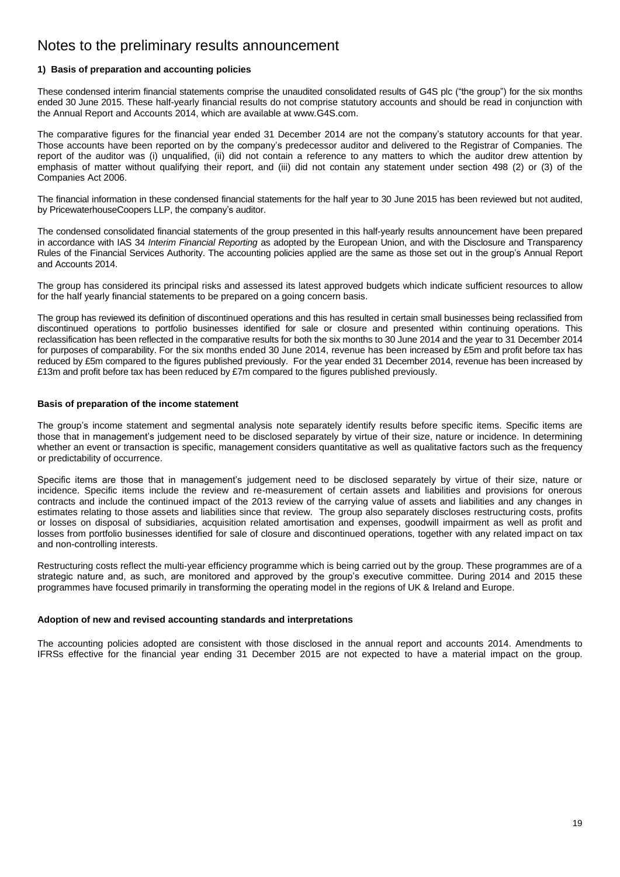## Notes to the preliminary results announcement

### **1) Basis of preparation and accounting policies**

These condensed interim financial statements comprise the unaudited consolidated results of G4S plc ("the group") for the six months ended 30 June 2015. These half-yearly financial results do not comprise statutory accounts and should be read in conjunction with the Annual Report and Accounts 2014, which are available at www.G4S.com.

The comparative figures for the financial year ended 31 December 2014 are not the company"s statutory accounts for that year. Those accounts have been reported on by the company"s predecessor auditor and delivered to the Registrar of Companies. The report of the auditor was (i) unqualified, (ii) did not contain a reference to any matters to which the auditor drew attention by emphasis of matter without qualifying their report, and (iii) did not contain any statement under section 498 (2) or (3) of the Companies Act 2006.

The financial information in these condensed financial statements for the half year to 30 June 2015 has been reviewed but not audited, by PricewaterhouseCoopers LLP, the company's auditor.

The condensed consolidated financial statements of the group presented in this half-yearly results announcement have been prepared in accordance with IAS 34 *Interim Financial Reporting* as adopted by the European Union, and with the Disclosure and Transparency Rules of the Financial Services Authority. The accounting policies applied are the same as those set out in the group"s Annual Report and Accounts 2014.

The group has considered its principal risks and assessed its latest approved budgets which indicate sufficient resources to allow for the half yearly financial statements to be prepared on a going concern basis.

The group has reviewed its definition of discontinued operations and this has resulted in certain small businesses being reclassified from discontinued operations to portfolio businesses identified for sale or closure and presented within continuing operations. This reclassification has been reflected in the comparative results for both the six months to 30 June 2014 and the year to 31 December 2014 for purposes of comparability. For the six months ended 30 June 2014, revenue has been increased by £5m and profit before tax has reduced by £5m compared to the figures published previously. For the year ended 31 December 2014, revenue has been increased by £13m and profit before tax has been reduced by £7m compared to the figures published previously.

#### **Basis of preparation of the income statement**

The group's income statement and segmental analysis note separately identify results before specific items. Specific items are those that in management"s judgement need to be disclosed separately by virtue of their size, nature or incidence. In determining whether an event or transaction is specific, management considers quantitative as well as qualitative factors such as the frequency or predictability of occurrence.

Specific items are those that in management"s judgement need to be disclosed separately by virtue of their size, nature or incidence. Specific items include the review and re-measurement of certain assets and liabilities and provisions for onerous contracts and include the continued impact of the 2013 review of the carrying value of assets and liabilities and any changes in estimates relating to those assets and liabilities since that review. The group also separately discloses restructuring costs, profits or losses on disposal of subsidiaries, acquisition related amortisation and expenses, goodwill impairment as well as profit and losses from portfolio businesses identified for sale of closure and discontinued operations, together with any related impact on tax and non-controlling interests.

Restructuring costs reflect the multi-year efficiency programme which is being carried out by the group. These programmes are of a strategic nature and, as such, are monitored and approved by the group's executive committee. During 2014 and 2015 these programmes have focused primarily in transforming the operating model in the regions of UK & Ireland and Europe.

#### **Adoption of new and revised accounting standards and interpretations**

The accounting policies adopted are consistent with those disclosed in the annual report and accounts 2014. Amendments to IFRSs effective for the financial year ending 31 December 2015 are not expected to have a material impact on the group.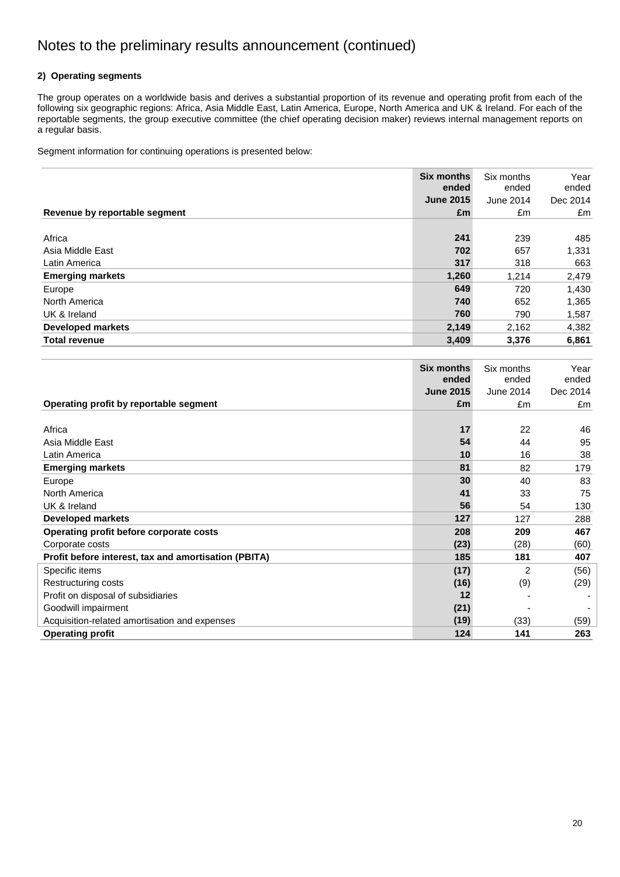### **2) Operating segments**

The group operates on a worldwide basis and derives a substantial proportion of its revenue and operating profit from each of the following six geographic regions: Africa, Asia Middle East, Latin America, Europe, North America and UK & Ireland. For each of the reportable segments, the group executive committee (the chief operating decision maker) reviews internal management reports on a regular basis.

Segment information for continuing operations is presented below:

|                               | <b>Six months</b><br>ended | Six months<br>ended | Year<br>ended |
|-------------------------------|----------------------------|---------------------|---------------|
|                               | <b>June 2015</b>           | June 2014           | Dec 2014      |
| Revenue by reportable segment | £m                         | £m                  | £m            |
|                               |                            |                     |               |
| Africa                        | 241                        | 239                 | 485           |
| Asia Middle East              | 702                        | 657                 | 1,331         |
| Latin America                 | 317                        | 318                 | 663           |
| <b>Emerging markets</b>       | 1,260                      | 1.214               | 2,479         |
| Europe                        | 649                        | 720                 | 1,430         |
| North America                 | 740                        | 652                 | 1,365         |
| UK & Ireland                  | 760                        | 790                 | 1,587         |
| <b>Developed markets</b>      | 2,149                      | 2,162               | 4,382         |
| <b>Total revenue</b>          | 3,409                      | 3,376               | 6,861         |

|                                                      | <b>Six months</b> | Six months     | Year     |
|------------------------------------------------------|-------------------|----------------|----------|
|                                                      | ended             | ended          | ended    |
|                                                      | <b>June 2015</b>  | June 2014      | Dec 2014 |
| Operating profit by reportable segment               | £m                | £m             | £m       |
|                                                      |                   |                |          |
| Africa                                               | 17                | 22             | 46       |
| Asia Middle East                                     | 54                | 44             | 95       |
| Latin America                                        | 10                | 16             | 38       |
| <b>Emerging markets</b>                              | 81                | 82             | 179      |
| Europe                                               | 30                | 40             | 83       |
| North America                                        | 41                | 33             | 75       |
| UK & Ireland                                         | 56                | 54             | 130      |
| <b>Developed markets</b>                             | 127               | 127            | 288      |
| Operating profit before corporate costs              | 208               | 209            | 467      |
| Corporate costs                                      | (23)              | (28)           | (60)     |
| Profit before interest, tax and amortisation (PBITA) | 185               | 181            | 407      |
| Specific items                                       | (17)              | $\overline{2}$ | (56)     |
| Restructuring costs                                  | (16)              | (9)            | (29)     |
| Profit on disposal of subsidiaries                   | 12                |                |          |
| Goodwill impairment                                  | (21)              |                |          |
| Acquisition-related amortisation and expenses        | (19)              | (33)           | (59)     |
| <b>Operating profit</b>                              | 124               | 141            | 263      |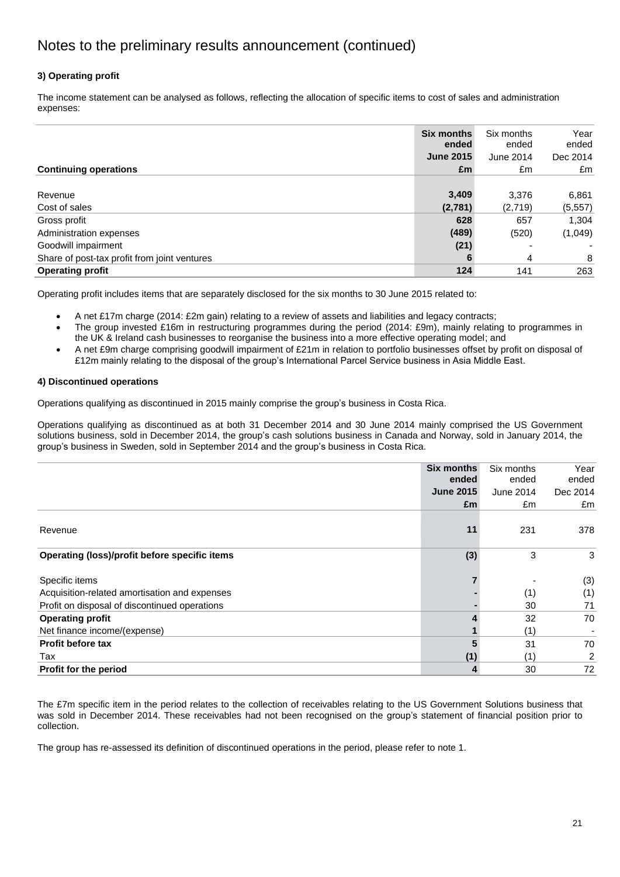## **3) Operating profit**

The income statement can be analysed as follows, reflecting the allocation of specific items to cost of sales and administration expenses:

|                                              | <b>Six months</b><br>ended | Six months<br>ended | Year<br>ended |
|----------------------------------------------|----------------------------|---------------------|---------------|
|                                              | <b>June 2015</b>           | June 2014           | Dec 2014      |
| <b>Continuing operations</b>                 | £m                         | £m                  | £m            |
|                                              |                            |                     |               |
| Revenue                                      | 3,409                      | 3,376               | 6,861         |
| Cost of sales                                | (2,781)                    | (2,719)             | (5, 557)      |
| Gross profit                                 | 628                        | 657                 | 1,304         |
| Administration expenses                      | (489)                      | (520)               | (1,049)       |
| Goodwill impairment                          | (21)                       |                     |               |
| Share of post-tax profit from joint ventures | 6                          | 4                   | 8             |
| <b>Operating profit</b>                      | 124                        | 141                 | 263           |

Operating profit includes items that are separately disclosed for the six months to 30 June 2015 related to:

A net £17m charge (2014: £2m gain) relating to a review of assets and liabilities and legacy contracts;

- The group invested £16m in restructuring programmes during the period (2014: £9m), mainly relating to programmes in the UK & Ireland cash businesses to reorganise the business into a more effective operating model; and
- A net £9m charge comprising goodwill impairment of £21m in relation to portfolio businesses offset by profit on disposal of £12m mainly relating to the disposal of the group"s International Parcel Service business in Asia Middle East.

#### **4) Discontinued operations**

Operations qualifying as discontinued in 2015 mainly comprise the group"s business in Costa Rica.

Operations qualifying as discontinued as at both 31 December 2014 and 30 June 2014 mainly comprised the US Government solutions business, sold in December 2014, the group's cash solutions business in Canada and Norway, sold in January 2014, the group"s business in Sweden, sold in September 2014 and the group"s business in Costa Rica.

|                                               | <b>Six months</b> | Six months | Year           |
|-----------------------------------------------|-------------------|------------|----------------|
|                                               | ended             | ended      | ended          |
|                                               | <b>June 2015</b>  | June 2014  | Dec 2014       |
|                                               | £m                | £m         | £m             |
| Revenue                                       | 11                | 231        | 378            |
| Operating (loss)/profit before specific items | (3)               | 3          | 3              |
| Specific items                                |                   |            | (3)            |
| Acquisition-related amortisation and expenses |                   | (1)        | (1)            |
| Profit on disposal of discontinued operations |                   | 30         | 71             |
| <b>Operating profit</b>                       |                   | 32         | 70             |
| Net finance income/(expense)                  |                   | (1)        |                |
| <b>Profit before tax</b>                      |                   | 31         | 70             |
| Tax                                           | (1)               | (1)        | $\overline{2}$ |
| Profit for the period                         | 4                 | 30         | 72             |

The £7m specific item in the period relates to the collection of receivables relating to the US Government Solutions business that was sold in December 2014. These receivables had not been recognised on the group"s statement of financial position prior to collection.

The group has re-assessed its definition of discontinued operations in the period, please refer to note 1.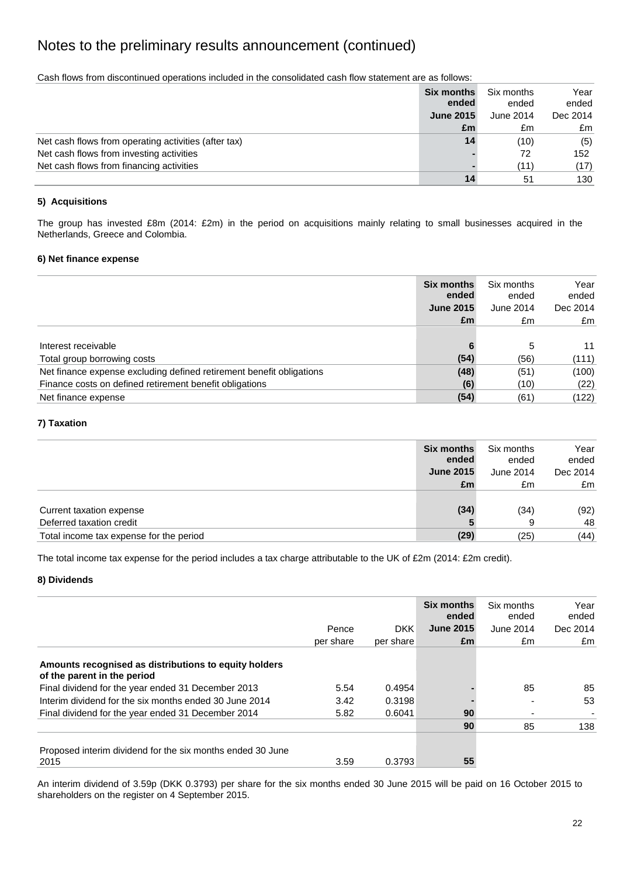Cash flows from discontinued operations included in the consolidated cash flow statement are as follows:

|                                                      | <b>Six months</b><br>ended | Six months<br>ended | Year<br>ended |
|------------------------------------------------------|----------------------------|---------------------|---------------|
|                                                      | <b>June 2015</b>           | June 2014           | Dec 2014      |
|                                                      | £m                         | £m                  | £m            |
| Net cash flows from operating activities (after tax) | 14                         | (10)                | (5)           |
| Net cash flows from investing activities             |                            | 72                  | 152           |
| Net cash flows from financing activities             |                            | (11)                | (17)          |
|                                                      | 14                         | -51                 | 130           |

### **5) Acquisitions**

The group has invested £8m (2014: £2m) in the period on acquisitions mainly relating to small businesses acquired in the Netherlands, Greece and Colombia.

#### **6) Net finance expense**

|                                                                      | Six months<br>ended | Six months<br>ended | Year<br>ended |
|----------------------------------------------------------------------|---------------------|---------------------|---------------|
|                                                                      | <b>June 2015</b>    | June 2014           | Dec 2014      |
|                                                                      | £m                  | £m                  | £m            |
|                                                                      |                     |                     |               |
| Interest receivable                                                  |                     | 5                   | 11            |
| Total group borrowing costs                                          | (54)                | (56)                | (111)         |
| Net finance expense excluding defined retirement benefit obligations | (48)                | (51)                | (100)         |
| Finance costs on defined retirement benefit obligations              | (6)                 | (10)                | (22)          |
| Net finance expense                                                  | (54)                | (61)                | (122)         |

#### **7) Taxation**

|                                         | <b>Six months</b><br>ended | Six months<br>ended | Year<br>ended |
|-----------------------------------------|----------------------------|---------------------|---------------|
|                                         | <b>June 2015</b>           | June 2014           | Dec 2014      |
|                                         | £m                         | £m                  | £m            |
|                                         |                            |                     |               |
| Current taxation expense                | (34)                       | (34)                | (92)          |
| Deferred taxation credit                |                            | 9                   | 48            |
| Total income tax expense for the period | (29)                       | (25)                | (44)          |

The total income tax expense for the period includes a tax charge attributable to the UK of £2m (2014: £2m credit).

#### **8) Dividends**

|                                                                                      |           |                  | Six months<br>ended | Six months<br>ended | Year<br>ended |
|--------------------------------------------------------------------------------------|-----------|------------------|---------------------|---------------------|---------------|
|                                                                                      | Pence     | DKK <sup>1</sup> | <b>June 2015</b>    | June 2014           | Dec 2014      |
|                                                                                      | per share | per share        | £m                  | £m                  | £m            |
| Amounts recognised as distributions to equity holders<br>of the parent in the period |           |                  |                     |                     |               |
| Final dividend for the year ended 31 December 2013                                   | 5.54      | 0.4954           |                     | 85                  | 85            |
| Interim dividend for the six months ended 30 June 2014                               | 3.42      | 0.3198           |                     |                     | 53            |
| Final dividend for the year ended 31 December 2014                                   | 5.82      | 0.6041           | 90                  |                     |               |
|                                                                                      |           |                  | 90                  | 85                  | 138           |
| Proposed interim dividend for the six months ended 30 June<br>2015                   | 3.59      | 0.3793           | 55                  |                     |               |

An interim dividend of 3.59p (DKK 0.3793) per share for the six months ended 30 June 2015 will be paid on 16 October 2015 to shareholders on the register on 4 September 2015.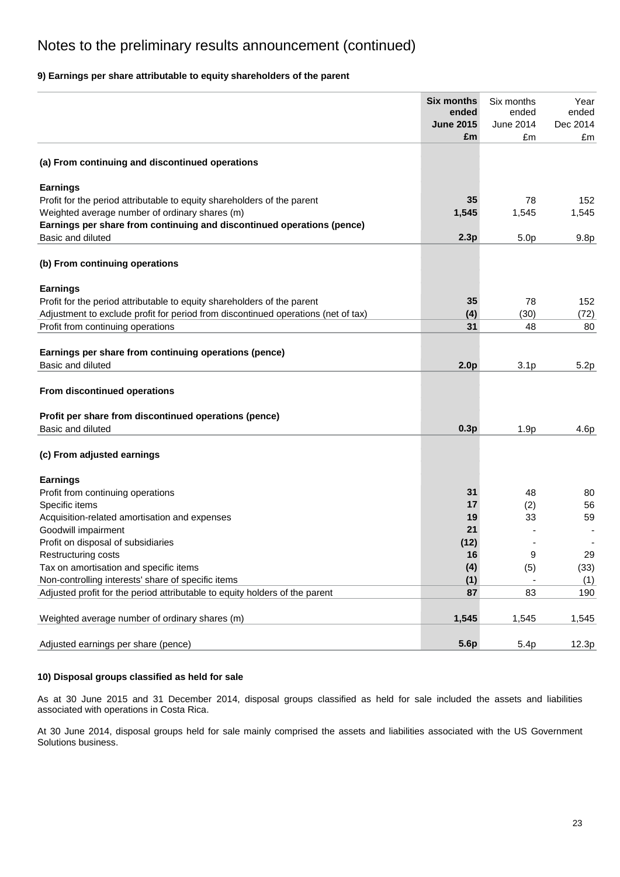## **9) Earnings per share attributable to equity shareholders of the parent**

|                                                                                   | <b>Six months</b> | Six months       | Year     |
|-----------------------------------------------------------------------------------|-------------------|------------------|----------|
|                                                                                   | ended             | ended            | ended    |
|                                                                                   | <b>June 2015</b>  | June 2014        | Dec 2014 |
|                                                                                   | £m                | £m               | £m       |
| (a) From continuing and discontinued operations                                   |                   |                  |          |
| <b>Earnings</b>                                                                   |                   |                  |          |
| Profit for the period attributable to equity shareholders of the parent           | 35                | 78               | 152      |
| Weighted average number of ordinary shares (m)                                    | 1,545             | 1,545            | 1,545    |
| Earnings per share from continuing and discontinued operations (pence)            |                   |                  |          |
| Basic and diluted                                                                 | 2.3p              | 5.0 <sub>p</sub> | 9.8p     |
| (b) From continuing operations                                                    |                   |                  |          |
| <b>Earnings</b>                                                                   |                   |                  |          |
| Profit for the period attributable to equity shareholders of the parent           | 35                | 78               | 152      |
| Adjustment to exclude profit for period from discontinued operations (net of tax) | (4)               | (30)             | (72)     |
| Profit from continuing operations                                                 | 31                | 48               | 80       |
|                                                                                   |                   |                  |          |
| Earnings per share from continuing operations (pence)                             |                   |                  |          |
| Basic and diluted                                                                 | 2.0 <sub>p</sub>  | 3.1 <sub>p</sub> | 5.2p     |
| From discontinued operations                                                      |                   |                  |          |
| Profit per share from discontinued operations (pence)                             |                   |                  |          |
| Basic and diluted                                                                 | 0.3p              | 1.9p             | 4.6p     |
| (c) From adjusted earnings                                                        |                   |                  |          |
| <b>Earnings</b>                                                                   |                   |                  |          |
| Profit from continuing operations                                                 | 31                | 48               | 80       |
| Specific items                                                                    | 17                | (2)              | 56       |
| Acquisition-related amortisation and expenses                                     | 19                | 33               | 59       |
| Goodwill impairment                                                               | 21                |                  |          |
| Profit on disposal of subsidiaries                                                | (12)              |                  |          |
| Restructuring costs                                                               | 16                | 9                | 29       |
| Tax on amortisation and specific items                                            | (4)               | (5)              | (33)     |
| Non-controlling interests' share of specific items                                | (1)               |                  | (1)      |
| Adjusted profit for the period attributable to equity holders of the parent       | 87                | 83               | 190      |
| Weighted average number of ordinary shares (m)                                    | 1,545             | 1,545            | 1,545    |
|                                                                                   |                   |                  |          |
| Adjusted earnings per share (pence)                                               | 5.6p              | 5.4p             | 12.3p    |

#### **10) Disposal groups classified as held for sale**

As at 30 June 2015 and 31 December 2014, disposal groups classified as held for sale included the assets and liabilities associated with operations in Costa Rica.

At 30 June 2014, disposal groups held for sale mainly comprised the assets and liabilities associated with the US Government Solutions business.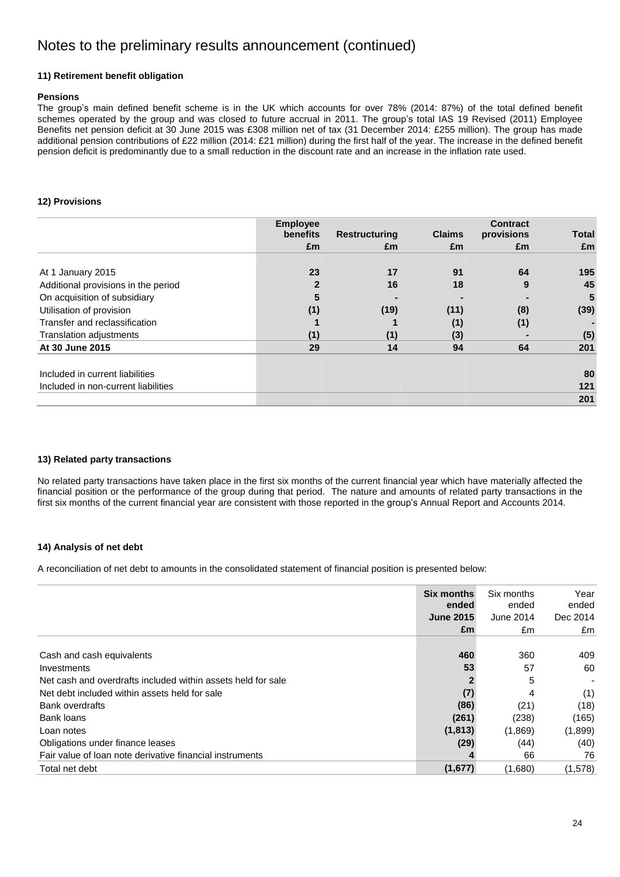### **11) Retirement benefit obligation**

#### **Pensions**

The group's main defined benefit scheme is in the UK which accounts for over 78% (2014: 87%) of the total defined benefit schemes operated by the group and was closed to future accrual in 2011. The group's total IAS 19 Revised (2011) Employee Benefits net pension deficit at 30 June 2015 was £308 million net of tax (31 December 2014: £255 million). The group has made additional pension contributions of £22 million (2014: £21 million) during the first half of the year. The increase in the defined benefit pension deficit is predominantly due to a small reduction in the discount rate and an increase in the inflation rate used.

#### **12) Provisions**

|                                     | <b>Employee</b> |                      |               | <b>Contract</b> |              |
|-------------------------------------|-----------------|----------------------|---------------|-----------------|--------------|
|                                     | benefits        | <b>Restructuring</b> | <b>Claims</b> | provisions      | <b>Total</b> |
|                                     | £m              | £m                   | £m            | £m              | £m           |
| At 1 January 2015                   | 23              | 17                   | 91            | 64              | 195          |
| Additional provisions in the period |                 | 16                   | 18            | 9               | 45           |
| On acquisition of subsidiary        |                 |                      |               |                 | 5            |
| Utilisation of provision            | (1)             | (19)                 | (11)          | (8)             | (39)         |
| Transfer and reclassification       |                 |                      | (1)           | (1)             |              |
| Translation adjustments             | (1)             | (1)                  | (3)           |                 | (5)          |
| At 30 June 2015                     | 29              | 14                   | 94            | 64              | 201          |
| Included in current liabilities     |                 |                      |               |                 | 80           |
| Included in non-current liabilities |                 |                      |               |                 | 121          |
|                                     |                 |                      |               |                 | 201          |

#### **13) Related party transactions**

No related party transactions have taken place in the first six months of the current financial year which have materially affected the financial position or the performance of the group during that period. The nature and amounts of related party transactions in the first six months of the current financial year are consistent with those reported in the group"s Annual Report and Accounts 2014.

### **14) Analysis of net debt**

A reconciliation of net debt to amounts in the consolidated statement of financial position is presented below:

|                                                              | <b>Six months</b><br>ended | Six months<br>ended | Year<br>ended |
|--------------------------------------------------------------|----------------------------|---------------------|---------------|
|                                                              | <b>June 2015</b>           | June 2014           | Dec 2014      |
|                                                              | £m                         | £m                  | £m            |
|                                                              |                            |                     |               |
| Cash and cash equivalents                                    | 460                        | 360                 | 409           |
| Investments                                                  | 53                         | 57                  | 60            |
| Net cash and overdrafts included within assets held for sale |                            | 5                   |               |
| Net debt included within assets held for sale                | (7)                        | 4                   | (1)           |
| Bank overdrafts                                              | (86)                       | (21)                | (18)          |
| Bank loans                                                   | (261)                      | (238)               | (165)         |
| Loan notes                                                   | (1, 813)                   | (1,869)             | (1,899)       |
| Obligations under finance leases                             | (29)                       | (44)                | (40)          |
| Fair value of loan note derivative financial instruments     |                            | 66                  | 76            |
| Total net debt                                               | (1,677)                    | (1,680)             | (1,578)       |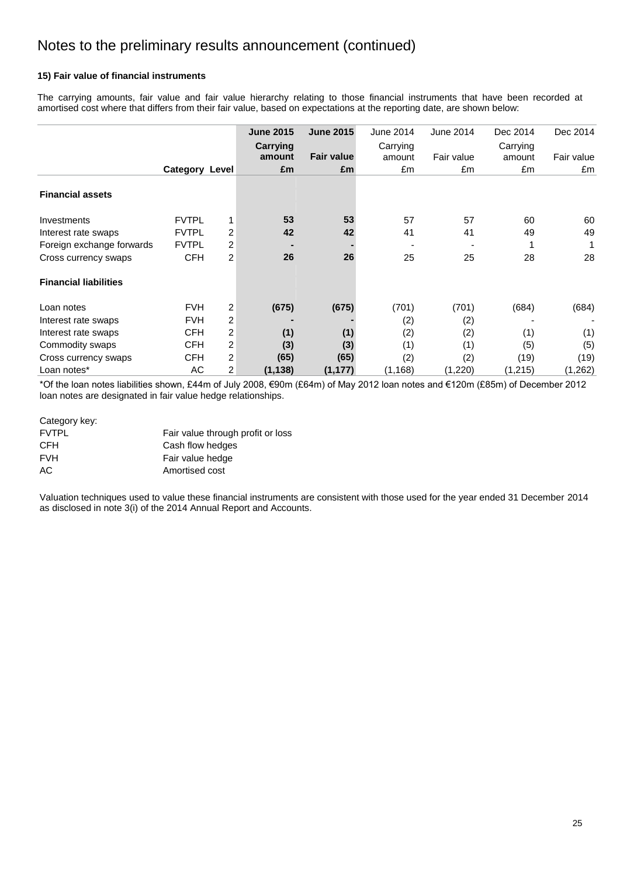### **15) Fair value of financial instruments**

The carrying amounts, fair value and fair value hierarchy relating to those financial instruments that have been recorded at amortised cost where that differs from their fair value, based on expectations at the reporting date, are shown below:

|                              |                       |                | <b>June 2015</b> | <b>June 2015</b>  | June 2014 | June 2014  | Dec 2014 | Dec 2014   |
|------------------------------|-----------------------|----------------|------------------|-------------------|-----------|------------|----------|------------|
|                              |                       |                | Carrying         |                   | Carrying  |            | Carrying |            |
|                              |                       |                | amount           | <b>Fair value</b> | amount    | Fair value | amount   | Fair value |
|                              | <b>Category Level</b> |                | £m               | £m                | £m        | £m         | £m       | £m         |
| <b>Financial assets</b>      |                       |                |                  |                   |           |            |          |            |
| Investments                  | <b>FVTPL</b>          |                | 53               | 53                | 57        | 57         | 60       | 60         |
| Interest rate swaps          | <b>FVTPL</b>          | 2              | 42               | 42                | 41        | 41         | 49       | 49         |
| Foreign exchange forwards    | <b>FVTPL</b>          | 2              |                  |                   |           |            |          | 1          |
| Cross currency swaps         | <b>CFH</b>            | $\overline{2}$ | 26               | 26                | 25        | 25         | 28       | 28         |
| <b>Financial liabilities</b> |                       |                |                  |                   |           |            |          |            |
| Loan notes                   | <b>FVH</b>            | 2              | (675)            | (675)             | (701)     | (701)      | (684)    | (684)      |
| Interest rate swaps          | <b>FVH</b>            | 2              |                  |                   | (2)       | (2)        |          |            |
| Interest rate swaps          | <b>CFH</b>            | 2              | (1)              | (1)               | (2)       | (2)        | (1)      | (1)        |
| Commodity swaps              | <b>CFH</b>            | 2              | (3)              | (3)               | (1)       | (1)        | (5)      | (5)        |
| Cross currency swaps         | <b>CFH</b>            | 2              | (65)             | (65)              | (2)       | (2)        | (19)     | (19)       |
| Loan notes*                  | AC                    | 2              | (1, 138)         | (1, 177)          | (1, 168)  | (1,220)    | (1, 215) | (1, 262)   |

\*Of the loan notes liabilities shown, £44m of July 2008, €90m (£64m) of May 2012 loan notes and €120m (£85m) of December 2012 loan notes are designated in fair value hedge relationships.

#### Category key:

| <b>FVTPL</b> | Fair value through profit or loss |
|--------------|-----------------------------------|
| <b>CFH</b>   | Cash flow hedges                  |
| <b>FVH</b>   | Fair value hedge                  |
| AC.          | Amortised cost                    |

Valuation techniques used to value these financial instruments are consistent with those used for the year ended 31 December 2014 as disclosed in note 3(i) of the 2014 Annual Report and Accounts.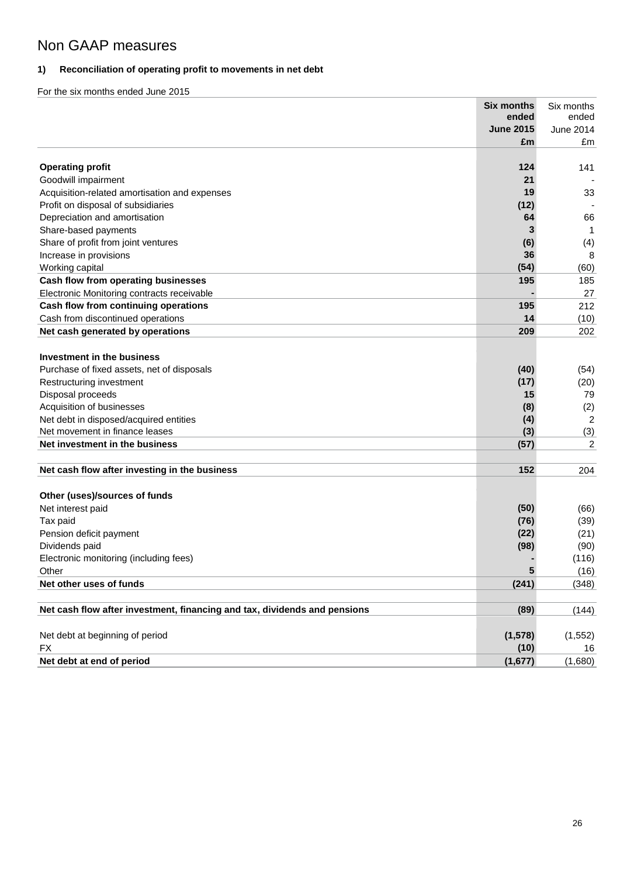# Non GAAP measures

## **1) Reconciliation of operating profit to movements in net debt**

|                                                                                     | <b>Six months</b> | Six months       |
|-------------------------------------------------------------------------------------|-------------------|------------------|
|                                                                                     | ended             | ended            |
|                                                                                     | <b>June 2015</b>  | <b>June 2014</b> |
|                                                                                     | £m                | £m               |
| <b>Operating profit</b>                                                             | 124               |                  |
|                                                                                     | 21                | 141              |
| Goodwill impairment                                                                 | 19                | 33               |
| Acquisition-related amortisation and expenses<br>Profit on disposal of subsidiaries | (12)              |                  |
| Depreciation and amortisation                                                       | 64                | 66               |
| Share-based payments                                                                | 3                 | 1                |
| Share of profit from joint ventures                                                 | (6)               | (4)              |
| Increase in provisions                                                              | 36                | 8                |
| Working capital                                                                     | (54)              | (60)             |
| Cash flow from operating businesses                                                 | 195               | 185              |
| Electronic Monitoring contracts receivable                                          |                   | 27               |
| Cash flow from continuing operations                                                | 195               | 212              |
| Cash from discontinued operations                                                   | 14                | (10)             |
| Net cash generated by operations                                                    | 209               | 202              |
|                                                                                     |                   |                  |
| Investment in the business                                                          |                   |                  |
| Purchase of fixed assets, net of disposals                                          | (40)              | (54)             |
| Restructuring investment                                                            | (17)              | (20)             |
| Disposal proceeds                                                                   | 15                | 79               |
| Acquisition of businesses                                                           | (8)               | (2)              |
| Net debt in disposed/acquired entities                                              | (4)               | 2                |
| Net movement in finance leases                                                      | (3)               | (3)              |
| Net investment in the business                                                      | (57)              | 2                |
|                                                                                     |                   |                  |
| Net cash flow after investing in the business                                       | 152               | 204              |
|                                                                                     |                   |                  |
| Other (uses)/sources of funds                                                       |                   |                  |
| Net interest paid                                                                   | (50)              | (66)             |
| Tax paid                                                                            | (76)              | (39)             |
| Pension deficit payment                                                             | (22)              | (21)             |
| Dividends paid                                                                      | (98)              | (90)             |
| Electronic monitoring (including fees)                                              |                   | (116)            |
| Other                                                                               | 5                 | (16)             |
| Net other uses of funds                                                             | (241)             | (348)            |
|                                                                                     |                   |                  |
| Net cash flow after investment, financing and tax, dividends and pensions           | (89)              | (144)            |
|                                                                                     |                   |                  |
| Net debt at beginning of period                                                     | (1, 578)          | (1, 552)         |
| <b>FX</b>                                                                           | (10)              | 16               |
| Net debt at end of period                                                           | (1,677)           | (1,680)          |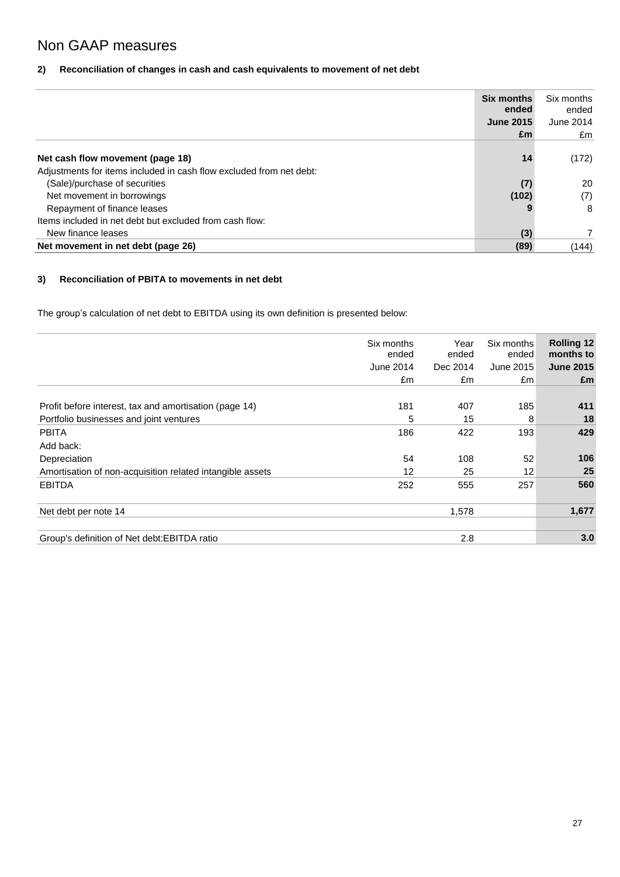# Non GAAP measures

## **2) Reconciliation of changes in cash and cash equivalents to movement of net debt**

|                                                                     | <b>Six months</b><br>ended | Six months<br>ended |
|---------------------------------------------------------------------|----------------------------|---------------------|
|                                                                     | <b>June 2015</b>           | June 2014           |
|                                                                     | £m                         | £m                  |
|                                                                     |                            |                     |
| Net cash flow movement (page 18)                                    | 14                         | (172)               |
| Adjustments for items included in cash flow excluded from net debt: |                            |                     |
| (Sale)/purchase of securities                                       | (7)                        | 20                  |
| Net movement in borrowings                                          | (102)                      | (7)                 |
| Repayment of finance leases                                         |                            | -8                  |
| Items included in net debt but excluded from cash flow:             |                            |                     |
| New finance leases                                                  | (3)                        |                     |
| Net movement in net debt (page 26)                                  | (89)                       | (144)               |

## **3) Reconciliation of PBITA to movements in net debt**

The group's calculation of net debt to EBITDA using its own definition is presented below:

|                                                           | Six months<br>ended<br>June 2014<br>£m | Year<br>ended<br>Dec 2014<br>£m | Six months<br>ended<br>June 2015<br>£m | <b>Rolling 12</b><br>months to<br><b>June 2015</b><br>£m |
|-----------------------------------------------------------|----------------------------------------|---------------------------------|----------------------------------------|----------------------------------------------------------|
| Profit before interest, tax and amortisation (page 14)    | 181                                    | 407                             | 185                                    | 411                                                      |
| Portfolio businesses and joint ventures                   | 5                                      | 15                              | 8                                      | 18                                                       |
| <b>PBITA</b>                                              | 186                                    | 422                             | 193                                    | 429                                                      |
| Add back:                                                 |                                        |                                 |                                        |                                                          |
| Depreciation                                              | 54                                     | 108                             | 52                                     | 106                                                      |
| Amortisation of non-acquisition related intangible assets | 12                                     | 25                              | 12                                     | 25                                                       |
| <b>EBITDA</b>                                             | 252                                    | 555                             | 257                                    | 560                                                      |
| Net debt per note 14                                      |                                        | 1,578                           |                                        | 1,677                                                    |
| Group's definition of Net debt: EBITDA ratio              |                                        | 2.8                             |                                        | 3.0                                                      |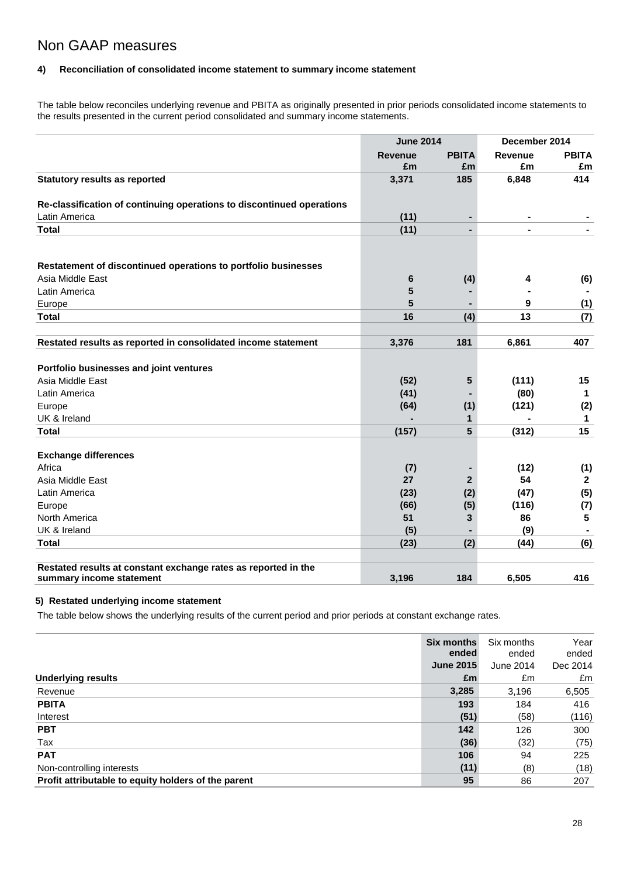## Non GAAP measures

## **4) Reconciliation of consolidated income statement to summary income statement**

The table below reconciles underlying revenue and PBITA as originally presented in prior periods consolidated income statements to the results presented in the current period consolidated and summary income statements.

|                                                                       | <b>June 2014</b>     |                    | December 2014 |              |
|-----------------------------------------------------------------------|----------------------|--------------------|---------------|--------------|
|                                                                       | <b>Revenue</b><br>£m | <b>PBITA</b><br>£m | Revenue<br>£m | PBITA<br>£m  |
| <b>Statutory results as reported</b>                                  | 3,371                | 185                | 6,848         | 414          |
| Re-classification of continuing operations to discontinued operations |                      |                    |               |              |
| Latin America                                                         | (11)                 | Ξ.                 |               |              |
| <b>Total</b>                                                          | (11)                 |                    |               |              |
| Restatement of discontinued operations to portfolio businesses        |                      |                    |               |              |
| Asia Middle East                                                      | 6                    | (4)                | 4             | (6)          |
| Latin America                                                         | 5                    |                    |               |              |
| Europe                                                                | 5                    |                    | 9             | (1)          |
| <b>Total</b>                                                          | 16                   | (4)                | 13            | (7)          |
| Restated results as reported in consolidated income statement         | 3,376                | 181                | 6,861         | 407          |
| Portfolio businesses and joint ventures                               |                      |                    |               |              |
| Asia Middle East                                                      | (52)                 | 5                  | (111)         | 15           |
| Latin America                                                         | (41)                 |                    | (80)          | 1            |
| Europe                                                                | (64)                 | (1)                | (121)         | (2)          |
| UK & Ireland                                                          |                      | 1                  |               | 1            |
| <b>Total</b>                                                          | (157)                | 5                  | (312)         | 15           |
| <b>Exchange differences</b>                                           |                      |                    |               |              |
| Africa                                                                | (7)                  |                    | (12)          | (1)          |
| Asia Middle East                                                      | 27                   | $\overline{2}$     | 54            | $\mathbf{2}$ |
| Latin America                                                         | (23)                 | (2)                | (47)          | (5)          |
| Europe                                                                | (66)                 | (5)                | (116)         | (7)          |
| North America                                                         | 51                   | 3                  | 86            | 5            |
| UK & Ireland                                                          | (5)                  |                    | (9)           |              |
| <b>Total</b>                                                          | (23)                 | (2)                | (44)          | (6)          |
| Restated results at constant exchange rates as reported in the        |                      |                    |               |              |
| summary income statement                                              | 3,196                | 184                | 6,505         | 416          |

## **5) Restated underlying income statement**

The table below shows the underlying results of the current period and prior periods at constant exchange rates.

|                                                     | <b>Six months</b><br>ended | Six months<br>ended | Year<br>ended |
|-----------------------------------------------------|----------------------------|---------------------|---------------|
|                                                     | <b>June 2015</b>           | June 2014           | Dec 2014      |
| <b>Underlying results</b>                           | £m                         | £m                  | £m            |
| Revenue                                             | 3,285                      | 3,196               | 6,505         |
| <b>PBITA</b>                                        | 193                        | 184                 | 416           |
| Interest                                            | (51)                       | (58)                | (116)         |
| <b>PBT</b>                                          | 142                        | 126                 | 300           |
| Tax                                                 | (36)                       | (32)                | (75)          |
| <b>PAT</b>                                          | 106                        | 94                  | 225           |
| Non-controlling interests                           | (11)                       | (8)                 | (18)          |
| Profit attributable to equity holders of the parent | 95                         | 86                  | 207           |